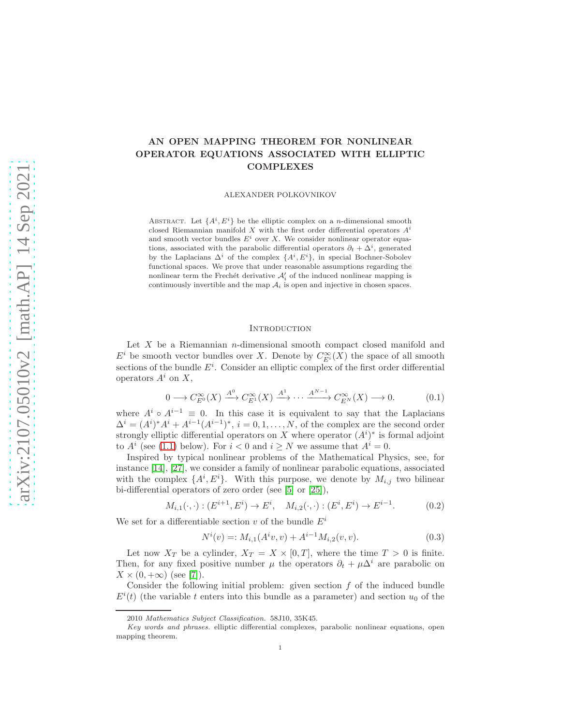# AN OPEN MAPPING THEOREM FOR NONLINEAR OPERATOR EQUATIONS ASSOCIATED WITH ELLIPTIC COMPLEXES

ALEXANDER POLKOVNIKOV

ABSTRACT. Let  $\{A^i, E^i\}$  be the elliptic complex on a *n*-dimensional smooth closed Riemannian manifold X with the first order differential operators  $A^{i}$ and smooth vector bundles  $E^i$  over X. We consider nonlinear operator equations, associated with the parabolic differential operators  $\partial_t + \Delta^i$ , generated by the Laplacians  $\Delta^i$  of the complex  $\{A^i, E^i\}$ , in special Bochner-Sobolev functional spaces. We prove that under reasonable assumptions regarding the nonlinear term the Frechét derivative  $\mathcal{A}'_i$  of the induced nonlinear mapping is continuously invertible and the map  $A_i$  is open and injective in chosen spaces.

### **INTRODUCTION**

Let  $X$  be a Riemannian *n*-dimensional smooth compact closed manifold and  $E^i$  be smooth vector bundles over X. Denote by  $C^{\infty}_{E^i}(X)$  the space of all smooth sections of the bundle  $E^i$ . Consider an elliptic complex of the first order differential operators  $A^i$  on  $X$ ,

<span id="page-0-0"></span>
$$
0 \longrightarrow C_{E^0}^{\infty}(X) \xrightarrow{A^0} C_{E^1}^{\infty}(X) \xrightarrow{A^1} \cdots \xrightarrow{A^{N-1}} C_{E^N}^{\infty}(X) \longrightarrow 0. \tag{0.1}
$$

where  $A^i \circ A^{i-1} \equiv 0$ . In this case it is equivalent to say that the Laplacians  $\Delta^{i} = (A^{i})^{*} A^{i} + A^{i-1} (A^{i-1})^{*}, i = 0, 1, ..., N$ , of the complex are the second order strongly elliptic differential operators on X where operator  $(A<sup>i</sup>)<sup>*</sup>$  is formal adjoint to  $A^i$  (see [\(1.1\)](#page-2-0) below). For  $i < 0$  and  $i \geq N$  we assume that  $A^i = 0$ .

Inspired by typical nonlinear problems of the Mathematical Physics, see, for instance [\[14\]](#page-21-0), [\[27\]](#page-22-0), we consider a family of nonlinear parabolic equations, associated with the complex  $\{A^i, E^i\}$ . With this purpose, we denote by  $M_{i,j}$  two bilinear bi-differential operators of zero order (see [\[5\]](#page-21-1) or [\[25\]](#page-22-1)),

$$
M_{i,1}(\cdot,\cdot):(E^{i+1},E^i)\to E^i,\quad M_{i,2}(\cdot,\cdot):(E^i,E^i)\to E^{i-1}.\tag{0.2}
$$

We set for a differentiable section v of the bundle  $E^i$ 

$$
N^{i}(v) =: M_{i,1}(A^{i}v, v) + A^{i-1}M_{i,2}(v, v).
$$
\n(0.3)

Let now  $X_T$  be a cylinder,  $X_T = X \times [0, T]$ , where the time  $T > 0$  is finite. Then, for any fixed positive number  $\mu$  the operators  $\partial_t + \mu \Delta^i$  are parabolic on  $X \times (0, +\infty)$  (see [\[7\]](#page-21-2)).

Consider the following initial problem: given section  $f$  of the induced bundle  $E^{i}(t)$  (the variable t enters into this bundle as a parameter) and section  $u_{0}$  of the

<sup>2010</sup> Mathematics Subject Classification. 58J10, 35K45.

Key words and phrases. elliptic differential complexes, parabolic nonlinear equations, open mapping theorem.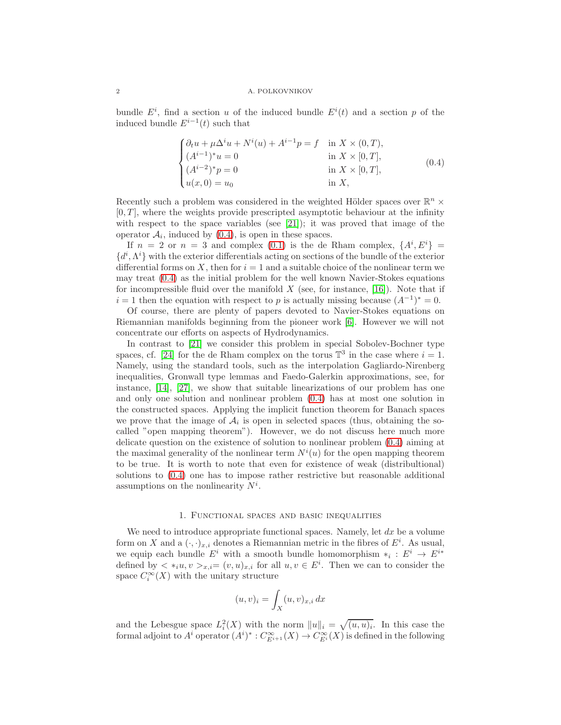bundle  $E^i$ , find a section u of the induced bundle  $E^i(t)$  and a section p of the induced bundle  $E^{i-1}(t)$  such that

<span id="page-1-0"></span>
$$
\begin{cases} \partial_t u + \mu \Delta^i u + N^i(u) + A^{i-1}p = f & \text{in } X \times (0, T), \\ (A^{i-1})^* u = 0 & \text{in } X \times [0, T], \\ (A^{i-2})^* p = 0 & \text{in } X \times [0, T], \\ u(x, 0) = u_0 & \text{in } X, \end{cases}
$$
(0.4)

Recently such a problem was considered in the weighted Hölder spaces over  $\mathbb{R}^n$  ×  $[0, T]$ , where the weights provide prescripted asymptotic behaviour at the infinity with respect to the space variables (see [\[21\]](#page-21-3)); it was proved that image of the operator  $A_i$ , induced by  $(0.4)$ , is open in these spaces.

If  $n = 2$  or  $n = 3$  and complex [\(0.1\)](#page-0-0) is the de Rham complex,  $\{A^i, E^i\}$  $\{d^i, \Lambda^i\}$  with the exterior differentials acting on sections of the bundle of the exterior differential forms on  $X$ , then for  $i = 1$  and a suitable choice of the nonlinear term we may treat [\(0.4\)](#page-1-0) as the initial problem for the well known Navier-Stokes equations for incompressible fluid over the manifold  $X$  (see, for instance, [\[16\]](#page-21-4)). Note that if  $i = 1$  then the equation with respect to p is actually missing because  $(A^{-1})^* = 0$ .

Of course, there are plenty of papers devoted to Navier-Stokes equations on Riemannian manifolds beginning from the pioneer work [\[6\]](#page-21-5). However we will not concentrate our efforts on aspects of Hydrodynamics.

In contrast to [\[21\]](#page-21-3) we consider this problem in special Sobolev-Bochner type spaces, cf. [\[24\]](#page-22-2) for the de Rham complex on the torus  $\mathbb{T}^3$  in the case where  $i = 1$ . Namely, using the standard tools, such as the interpolation Gagliardo-Nirenberg inequalities, Gronwall type lemmas and Faedo-Galerkin approximations, see, for instance, [\[14\]](#page-21-0), [\[27\]](#page-22-0), we show that suitable linearizations of our problem has one and only one solution and nonlinear problem [\(0.4\)](#page-1-0) has at most one solution in the constructed spaces. Applying the implicit function theorem for Banach spaces we prove that the image of  $A_i$  is open in selected spaces (thus, obtaining the socalled "open mapping theorem"). However, we do not discuss here much more delicate question on the existence of solution to nonlinear problem [\(0.4\)](#page-1-0) aiming at the maximal generality of the nonlinear term  $N^{i}(u)$  for the open mapping theorem to be true. It is worth to note that even for existence of weak (distribultional) solutions to [\(0.4\)](#page-1-0) one has to impose rather restrictive but reasonable additional assumptions on the nonlinearity  $N^i$ .

## 1. Functional spaces and basic inequalities

We need to introduce appropriate functional spaces. Namely, let  $dx$  be a volume form on X and a  $(\cdot, \cdot)_{x,i}$  denotes a Riemannian metric in the fibres of  $E^i$ . As usual, we equip each bundle  $E^i$  with a smooth bundle homomorphism  $*_i: E^i \to E^{i*}$ defined by  $\langle *_i u, v \rangle_{x,i} = (v, u)_{x,i}$  for all  $u, v \in E^i$ . Then we can to consider the space  $C_i^{\infty}(X)$  with the unitary structure

$$
(u,v)_i = \int_X (u,v)_{x,i} \, dx
$$

and the Lebesgue space  $L_i^2(X)$  with the norm  $||u||_i = \sqrt{(u, u)_i}$ . In this case the formal adjoint to  $A^i$  operator  $(A^i)^* : C^{\infty}_{E^{i+1}}(X) \to C^{\infty}_{E^i}(X)$  is defined in the following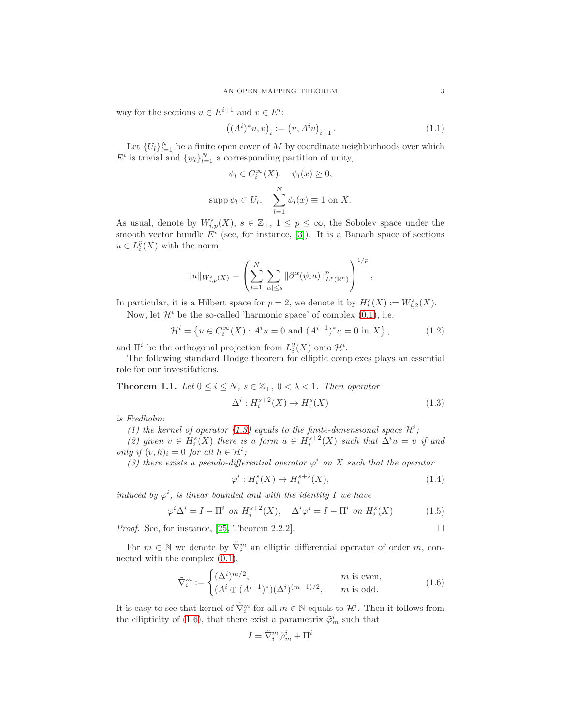way for the sections  $u \in E^{i+1}$  and  $v \in E^i$ :

<span id="page-2-0"></span>
$$
((A^i)^*u, v)_i := (u, A^iv)_{i+1}.
$$
\n(1.1)

Let  $\{U_l\}_{l=1}^N$  be a finite open cover of M by coordinate neighborhoods over which  $E^i$  is trivial and  $\{\psi_l\}_{l=1}^N$  a corresponding partition of unity,

$$
\psi_l \in C_i^{\infty}(X), \quad \psi_l(x) \ge 0,
$$
  
supp $\psi_l \subset U_l, \quad \sum_{l=1}^N \psi_l(x) \equiv 1$  on X.

As usual, denote by  $W_{i,p}^s(X)$ ,  $s \in \mathbb{Z}_+$ ,  $1 \leq p \leq \infty$ , the Sobolev space under the smooth vector bundle  $E^i$  (see, for instance, [\[3\]](#page-21-6)). It is a Banach space of sections  $u \in L_i^p(X)$  with the norm

$$
||u||_{W_{i,p}^s(X)} = \left(\sum_{l=1}^N \sum_{|\alpha| \leq s} ||\partial^{\alpha}(\psi_l u)||_{L^p(\mathbb{R}^n)}^p\right)^{1/p},
$$

In particular, it is a Hilbert space for  $p = 2$ , we denote it by  $H_i^s(X) := W_{i,2}^s(X)$ . Now, let  $\mathcal{H}^i$  be the so-called 'harmonic space' of complex [\(0.1\)](#page-0-0), i.e.

$$
\mathcal{H}^{i} = \left\{ u \in C_{i}^{\infty}(X) : A^{i}u = 0 \text{ and } (A^{i-1})^{*}u = 0 \text{ in } X \right\},\tag{1.2}
$$

and  $\Pi^i$  be the orthogonal projection from  $L_i^2(X)$  onto  $\mathcal{H}^i$ .

The following standard Hodge theorem for elliptic complexes plays an essential role for our investifations.

<span id="page-2-3"></span>**Theorem 1.1.** Let  $0 \le i \le N$ ,  $s \in \mathbb{Z}_+$ ,  $0 < \lambda < 1$ . Then operator

<span id="page-2-1"></span>
$$
\Delta^i: H_i^{s+2}(X) \to H_i^s(X) \tag{1.3}
$$

is Fredholm:

(1) the kernel of operator [\(1.3\)](#page-2-1) equals to the finite-dimensional space  $\mathcal{H}^i$ ;

(2) given  $v \in H_i^s(X)$  there is a form  $u \in H_i^{s+2}(X)$  such that  $\Delta^i u = v$  if and only if  $(v, h)_i = 0$  for all  $h \in \mathcal{H}^i$ ;

(3) there exists a pseudo-differential operator  $\varphi^i$  on X such that the operator

$$
\varphi^i: H_i^s(X) \to H_i^{s+2}(X),\tag{1.4}
$$

induced by  $\varphi^i$ , is linear bounded and with the identity I we have

$$
\varphi^i \Delta^i = I - \Pi^i \text{ on } H_i^{s+2}(X), \quad \Delta^i \varphi^i = I - \Pi^i \text{ on } H_i^s(X) \tag{1.5}
$$

*Proof.* See, for instance, [\[25,](#page-22-1) Theorem 2.2.2].

For  $m \in \mathbb{N}$  we denote by  $\tilde{\nabla}_i^m$  an elliptic differential operator of order m, connected with the complex [\(0.1\)](#page-0-0),

<span id="page-2-2"></span>
$$
\tilde{\nabla}_i^m := \begin{cases}\n(\Delta^i)^{m/2}, & m \text{ is even,} \\
(A^i \oplus (A^{i-1})^*)(\Delta^i)^{(m-1)/2}, & m \text{ is odd.} \n\end{cases}
$$
\n(1.6)

It is easy to see that kernel of  $\tilde{\nabla}_i^m$  for all  $m \in \mathbb{N}$  equals to  $\mathcal{H}^i$ . Then it follows from the ellipticity of [\(1.6\)](#page-2-2), that there exist a parametrix  $\tilde{\varphi}_m^i$  such that

$$
I = \tilde{\nabla}_i^m \tilde{\varphi}_m^i + \Pi^i
$$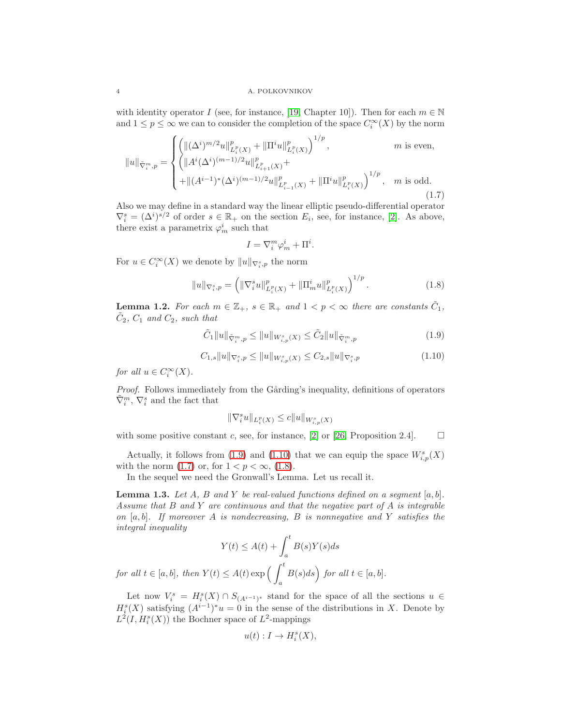#### 4 A. POLKOVNIKOV

with identity operator I (see, for instance, [\[19,](#page-21-7) Chapter 10]). Then for each  $m \in \mathbb{N}$ and  $1 \leq p \leq \infty$  we can to consider the completion of the space  $C_i^{\infty}(X)$  by the norm

<span id="page-3-2"></span>
$$
||u||_{\tilde{\nabla}_i^m, p} = \begin{cases} \left( ||(\Delta^i)^{m/2} u||_{L_i^p(X)}^p + ||\Pi^i u||_{L_i^p(X)}^p \right)^{1/p}, & m \text{ is even,} \\ \left( ||A^i(\Delta^i)^{(m-1)/2} u||_{L_{i+1}^p(X)}^p + ||\Pi^i u||_{L_i^p(X)}^p \right)^{1/p}, & m \text{ is odd.} \\ + ||(A^{i-1})^*(\Delta^i)^{(m-1)/2} u||_{L_{i-1}^p(X)}^p + ||\Pi^i u||_{L_i^p(X)}^p \right)^{1/p}, & m \text{ is odd.} \end{cases}
$$
(1.7)

Also we may define in a standard way the linear elliptic pseudo-differential operator  $\nabla_i^s = (\Delta^i)^{s/2}$  of order  $s \in \mathbb{R}_+$  on the section  $E_i$ , see, for instance, [\[2\]](#page-21-8). As above, there exist a parametrix  $\varphi_m^i$  such that

$$
I = \nabla_i^m \varphi_m^i + \Pi^i.
$$

For  $u \in C_i^{\infty}(X)$  we denote by  $||u||_{\nabla_i^s, p}$  the norm

<span id="page-3-3"></span>
$$
||u||_{\nabla_i^s, p} = \left( \|\nabla_i^s u\|_{L_i^p(X)}^p + \|\Pi_m^i u\|_{L_i^p(X)}^p \right)^{1/p}.
$$
 (1.8)

<span id="page-3-4"></span>**Lemma 1.2.** For each  $m \in \mathbb{Z}_+$ ,  $s \in \mathbb{R}_+$  and  $1 < p < \infty$  there are constants  $\tilde{C}_1$ ,  $\tilde{C}_2$ ,  $C_1$  and  $C_2$ , such that

<span id="page-3-0"></span>
$$
\tilde{C}_1 \|u\|_{\tilde{\nabla}_i^m, p} \le \|u\|_{W^s_{i, p}(X)} \le \tilde{C}_2 \|u\|_{\tilde{\nabla}_i^m, p}
$$
\n(1.9)

<span id="page-3-1"></span>
$$
C_{1,s} \|u\|_{\nabla_s^s, p} \le \|u\|_{W_{i,p}^s(X)} \le C_{2,s} \|u\|_{\nabla_s^s, p}
$$
\n(1.10)

for all  $u \in C_i^{\infty}(X)$ .

Proof. Follows immediately from the Gårding's inequality, definitions of operators  $\tilde{\nabla}^m_i, \, \nabla^s_i$  and the fact that

$$
\|\nabla_i^s u\|_{L_i^p(X)} \le c \|u\|_{W^s_{i,p}(X)}
$$

with some positive constant c, see, for instance, [\[2\]](#page-21-8) or [\[26,](#page-22-3) Proposition 2.4].  $\Box$ 

Actually, it follows from [\(1.9\)](#page-3-0) and [\(1.10\)](#page-3-1) that we can equip the space  $W_{i,p}^s(X)$ with the norm [\(1.7\)](#page-3-2) or, for  $1 < p < \infty$ , [\(1.8\)](#page-3-3).

In the sequel we need the Gronwall's Lemma. Let us recall it.

<span id="page-3-5"></span>**Lemma 1.3.** Let A, B and Y be real-valued functions defined on a segment  $[a, b]$ . Assume that  $B$  and  $Y$  are continuous and that the negative part of  $A$  is integrable on  $[a, b]$ . If moreover A is nondecreasing, B is nonnegative and Y satisfies the integral inequality

$$
Y(t) \le A(t) + \int_a^t B(s)Y(s)ds
$$
  
for all  $t \in [a, b]$ , then  $Y(t) \le A(t) \exp\left(\int_a^t B(s)ds\right)$  for all  $t \in [a, b]$ .

Let now  $V_i^s = H_i^s(X) \cap S_{(A^{i-1})^s}$  stand for the space of all the sections  $u \in$  $H_i^s(X)$  satisfying  $(A^{i-1})^*u = 0$  in the sense of the distributions in X. Denote by  $L^2(I, H_i^s(X))$  the Bochner space of  $L^2$ -mappings

$$
u(t):I\to H_i^s(X),
$$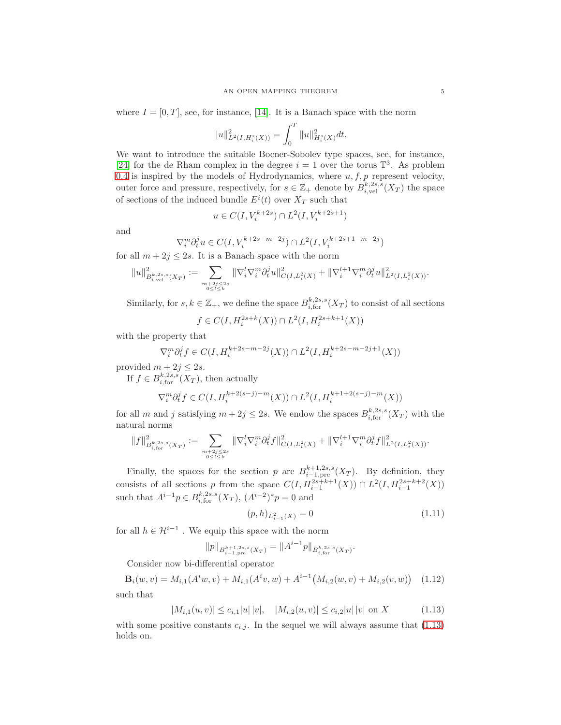where  $I = [0, T]$ , see, for instance, [\[14\]](#page-21-0). It is a Banach space with the norm

$$
||u||^2_{L^2(I,H^s_i(X))}=\int_0^T ||u||^2_{H^s_i(X)}dt.
$$

We want to introduce the suitable Bocner-Sobolev type spaces, see, for instance, [\[24\]](#page-22-2) for the de Rham complex in the degree  $i = 1$  over the torus  $\mathbb{T}^3$ . As problem [0.4](#page-1-0) is inspired by the models of Hydrodynamics, where  $u, f, p$  represent velocity, outer force and pressure, respectively, for  $s \in \mathbb{Z}_+$  denote by  $B_{i,\text{vel}}^{k,2s,s}(X_T)$  the space of sections of the induced bundle  $E^{i}(t)$  over  $X_T$  such that

$$
u \in C(I,V_i^{k+2s}) \cap L^2(I,V_i^{k+2s+1})
$$

and

$$
\nabla_i^m \partial_t^j u \in C(I, V_i^{k+2s-m-2j}) \cap L^2(I, V_i^{k+2s+1-m-2j})
$$

for all  $m + 2j \leq 2s$ . It is a Banach space with the norm

$$
\|u\|^2_{B^{k,2s,s}_{i,\mathrm{vel}}(X_T)}:=\sum_{m+2j\leq 2s\atop 0\leq l\leq k}\|\nabla_i^l\nabla_i^m\partial_t^ju\|^2_{C(I,L^2_i(X)}+\|\nabla_i^{l+1}\nabla_i^m\partial_t^ju\|^2_{L^2(I,L^2_i(X))}.
$$

Similarly, for  $s, k \in \mathbb{Z}_+$ , we define the space  $B_{i,\text{for}}^{k,2s,s}(X_T)$  to consist of all sections

$$
f \in C(I, H_i^{2s+k}(X)) \cap L^2(I, H_i^{2s+k+1}(X))
$$

with the property that

$$
\nabla_i^m \partial_t^j f \in C(I, H_i^{k+2s-m-2j}(X)) \cap L^2(I, H_i^{k+2s-m-2j+1}(X))
$$

provided  $m + 2j \leq 2s$ .

If  $f \in B_{i, \text{for}}^{k, 2s, s}(X_T)$ , then actually

$$
\nabla_i^m \partial_t^j f \in C(I, H_i^{k+2(s-j)-m}(X)) \cap L^2(I, H_i^{k+1+2(s-j)-m}(X))
$$

for all m and j satisfying  $m + 2j \leq 2s$ . We endow the spaces  $B_{i, \text{for}}^{k, 2s, s}(X_T)$  with the natural norms

$$
\|f\|^2_{B^{k,2s,s}_{i,\text{for}}(X_T)}:=\sum_{m+2j\leq 2s \atop 0\leq l\leq k}\|\nabla^l_i\nabla^m_i\partial^j_t f\|^2_{C(I,L^2_i(X)}+\|\nabla^{l+1}_i\nabla^m_i\partial^j_t f\|^2_{L^2(I,L^2_i(X))}.
$$

Finally, the spaces for the section p are  $B_{i-1,pre}^{k+1,2s,s}(X_T)$ . By definition, they consists of all sections p from the space  $C(I, H_{i-1}^{2s+k+1}(X)) \cap L^2(I, H_{i-1}^{2s+k+2}(X))$ such that  $A^{i-1}p \in B_{i, \text{for}}^{k, 2s, s}(X_T), (A^{i-2})^*p = 0$  and

<span id="page-4-1"></span>
$$
(p,h)_{L_{i-1}^2(X)} = 0\tag{1.11}
$$

for all  $h \in \mathcal{H}^{i-1}$ . We equip this space with the norm

$$
||p||_{B^{k+1,2s,s}_{i-1,\text{pre}}(X_T)} = ||A^{i-1}p||_{B^{k,2s,s}_{i,\text{for}}(X_T)}.
$$

Consider now bi-differential operator

$$
\mathbf{B}_{i}(w,v) = M_{i,1}(A^{i}w,v) + M_{i,1}(A^{i}v,w) + A^{i-1}(M_{i,2}(w,v) + M_{i,2}(v,w)) \quad (1.12)
$$
  
such that

<span id="page-4-0"></span>
$$
|M_{i,1}(u,v)| \le c_{i,1}|u||v|, \quad |M_{i,2}(u,v)| \le c_{i,2}|u||v| \text{ on } X \tag{1.13}
$$

with some positive constants  $c_{i,j}$ . In the sequel we will always assume that [\(1.13\)](#page-4-0) holds on.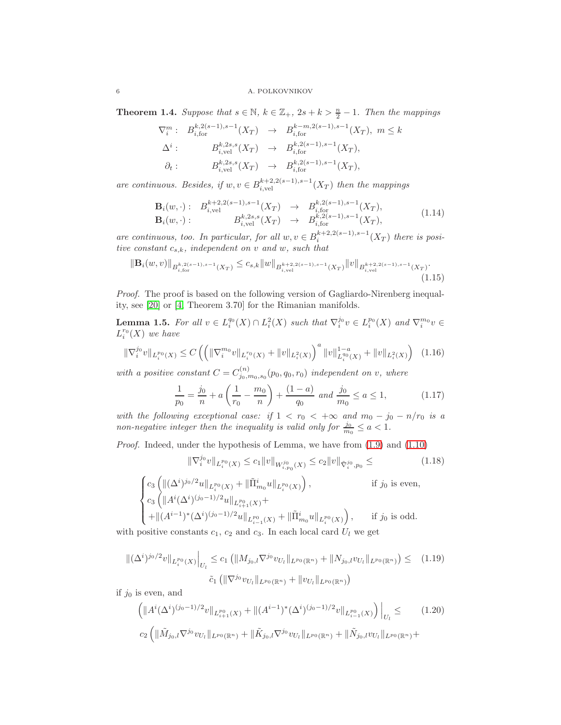<span id="page-5-5"></span>**Theorem 1.4.** Suppose that  $s \in \mathbb{N}$ ,  $k \in \mathbb{Z}_+$ ,  $2s + k > \frac{n}{2} - 1$ . Then the mappings

$$
\nabla_i^m: B_{i, \text{for}}^{k, 2(s-1), s-1}(X_T) \to B_{i, \text{for}}^{k-m, 2(s-1), s-1}(X_T), \ m \le k
$$
  
\n
$$
\Delta^i: B_{i, \text{vel}}^{k, 2s, s}(X_T) \to B_{i, \text{for}}^{k, 2(s-1), s-1}(X_T),
$$
  
\n
$$
\partial_t: B_{i, \text{vel}}^{k, 2s, s}(X_T) \to B_{i, \text{for}}^{k, 2(s-1), s-1}(X_T),
$$

are continuous. Besides, if  $w, v \in B_{i,\text{vel}}^{k+2,2(s-1),s-1}(X_T)$  then the mappings

<span id="page-5-3"></span>
$$
\mathbf{B}_{i}(w,\cdot): \quad B_{i,\text{vel}}^{k+2,2(s-1),s-1}(X_T) \quad \to \quad B_{i,\text{tor}}^{k,2(s-1),s-1}(X_T), \n\mathbf{B}_{i}(w,\cdot): \quad B_{i,\text{vel}}^{k,2s,s}(X_T) \quad \to \quad B_{i,\text{for}}^{k,2(s-1),s-1}(X_T),
$$
\n(1.14)

are continuous, too. In particular, for all  $w, v \in B_i^{k+2,2(s-1),s-1}(X_T)$  there is positive constant  $c_{s,k}$ , independent on v and w, such that

<span id="page-5-4"></span>
$$
\|\mathbf{B}_{i}(w,v)\|_{B^{k,2(s-1),s-1}_{i,\text{for}}(X_T)} \leq c_{s,k} \|w\|_{B^{k+2,2(s-1),s-1}_{i,\text{vel}}(X_T)} \|v\|_{B^{k+2,2(s-1),s-1}_{i,\text{vel}}(X_T)}.\tag{1.15}
$$

Proof. The proof is based on the following version of Gagliardo-Nirenberg inequality, see [\[20\]](#page-21-9) or [\[4,](#page-21-10) Theorem 3.70] for the Rimanian manifolds.

**Lemma 1.5.** For all  $v \in L_i^{q_0}(X) \cap L_i^2(X)$  such that  $\nabla_i^{j_0} v \in L_i^{p_0}(X)$  and  $\nabla_i^{m_0} v \in$  $L_i^{r_0}(X)$  we have

<span id="page-5-2"></span>
$$
\|\nabla_i^{j_0}v\|_{L_i^{p_0}(X)} \le C \left( \left( \|\nabla_i^{m_0}v\|_{L_i^{r_0}(X)} + \|v\|_{L_i^{2}(X)} \right)^a \|v\|_{L_i^{q_0}(X)}^{1-a} + \|v\|_{L_i^{2}(X)} \right) \tag{1.16}
$$

with a positive constant  $C = C^{(n)}_{j_0,m_0,s_0}(p_0,q_0,r_0)$  independent on v, where

<span id="page-5-0"></span>
$$
\frac{1}{p_0} = \frac{j_0}{n} + a\left(\frac{1}{r_0} - \frac{m_0}{n}\right) + \frac{(1-a)}{q_0} \text{ and } \frac{j_0}{m_0} \le a \le 1,
$$
 (1.17)

with the following exceptional case: if  $1 < r_0 < +\infty$  and  $m_0 - j_0 - n/r_0$  is a non-negative integer then the inequality is valid only for  $\frac{j_0}{m_0} \le a < 1$ .

Proof. Indeed, under the hypothesis of Lemma, we have from  $(1.9)$  and  $(1.10)$ 

$$
\|\nabla_i^{j_0} v\|_{L_i^{p_0}(X)} \le c_1 \|v\|_{W_{i,p_0}^{j_0}(X)} \le c_2 \|v\|_{\tilde{\nabla}_i^{j_0},p_0} \le
$$
\n
$$
\begin{cases}\nc_3 \left( \| (\Delta^i)^{j_0/2} u \|_{L_i^{p_0}(X)} + \|\tilde{\Pi}_{m_0}^i u \|_{L_i^{p_0}(X)} \right), & \text{if } j_0 \text{ is even,} \\
c_3 \left( \|A^i (\Delta^i)^{(j_0-1)/2} u \|_{L_{i+1}^{p_0}(X)} + \right)\n\end{cases}
$$
\n(1.18)

$$
\left( + \|\left( A^{i-1} \right)^* (\Delta^i)^{(j_0-1)/2} u \|_{L_{i-1}^{p_0}(X)} + \|\tilde{\Pi}_{m_0}^i u \|_{L_i^{p_0}(X)} \right), \quad \text{if } j_0 \text{ is odd.}
$$
  
with positive constants  $c_1$ ,  $c_2$  and  $c_3$ . In each local card  $U_l$  we get

<span id="page-5-1"></span>
$$
\| (\Delta^{i})^{j_{0}/2} v \|_{L_{i}^{p_{0}}(X)} \Big|_{U_{l}} \leq c_{1} \left( \| M_{j_{0},l} \nabla^{j_{0}} v_{U_{l}} \|_{L^{p_{0}}(\mathbb{R}^{n})} + \| N_{j_{0},l} v_{U_{l}} \|_{L^{p_{0}}(\mathbb{R}^{n})} \right) \leq (1.19)
$$
  

$$
\tilde{c}_{1} \left( \| \nabla^{j_{0}} v_{U_{l}} \|_{L^{p_{0}}(\mathbb{R}^{n})} + \| v_{U_{l}} \|_{L^{p_{0}}(\mathbb{R}^{n})} \right)
$$

if  $j_0$  is even, and

 $\sqrt{ }$ 

$$
\left( \|\dot{A}^{i}(\Delta^{i})^{(j_{0}-1)/2}v\|_{L_{i+1}^{p_{0}}(X)} + \|(\dot{A}^{i-1})^{*}(\Delta^{i})^{(j_{0}-1)/2}v\|_{L_{i-1}^{p_{0}}(X)} \right) \Big|_{U_{l}} \leq \qquad (1.20)
$$
  

$$
c_{2} \left( \|\tilde{M}_{j_{0},l}\nabla^{j_{0}}v_{U_{l}}\|_{L^{p_{0}}(\mathbb{R}^{n})} + \|\tilde{K}_{j_{0},l}\nabla^{j_{0}}v_{U_{l}}\|_{L^{p_{0}}(\mathbb{R}^{n})} + \|\tilde{N}_{j_{0},l}v_{U_{l}}\|_{L^{p_{0}}(\mathbb{R}^{n})} + \right.
$$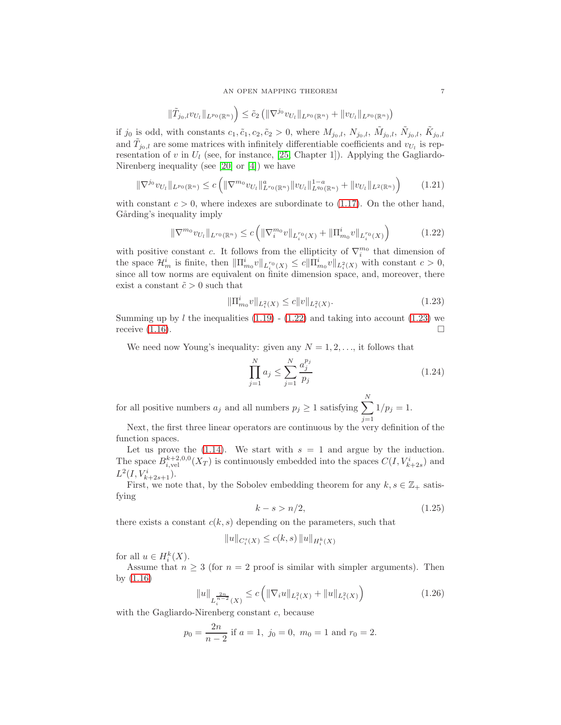$$
\|\tilde{T}_{j_0,l}v_{U_l}\|_{L^{p_0}(\mathbb{R}^n)}\Big)\leq \tilde{c}_2\left(\|\nabla^{j_0}v_{U_l}\|_{L^{p_0}(\mathbb{R}^n)}+\|v_{U_l}\|_{L^{p_0}(\mathbb{R}^n)}\right)
$$

if j<sub>0</sub> is odd, with constants  $c_1, \tilde{c}_1, c_2, \tilde{c}_2 > 0$ , where  $M_{j_0,l}, N_{j_0,l}, \tilde{M}_{j_0,l}, \tilde{N}_{j_0,l}, \tilde{K}_{j_0,l}$ and  $\tilde{T}_{j_0,l}$  are some matrices with infinitely differentiable coefficients and  $v_{U_l}$  is representation of v in  $U_l$  (see, for instance, [\[25,](#page-22-1) Chapter 1]). Applying the Gagliardo-Nirenberg inequality (see [\[20\]](#page-21-9) or [\[4\]](#page-21-10)) we have

$$
\|\nabla^{j_0}v_{U_l}\|_{L^{p_0}(\mathbb{R}^n)} \le c \left( \|\nabla^{m_0}v_{U_l}\|_{L^{r_0}(\mathbb{R}^n)}^a \|v_{U_l}\|_{L^{q_0}(\mathbb{R}^n)}^{1-a} + \|v_{U_l}\|_{L^2(\mathbb{R}^n)} \right) \tag{1.21}
$$

with constant  $c > 0$ , where indexes are subordinate to [\(1.17\)](#page-5-0). On the other hand, Gårding's inequality imply

<span id="page-6-0"></span>
$$
\|\nabla^{m_0} v_{U_l}\|_{L^{r_0}(\mathbb{R}^n)} \le c \left( \|\nabla_i^{m_0} v\|_{L_i^{r_0}(X)} + \|\Pi_{m_0}^i v\|_{L_i^{r_0}(X)} \right) \tag{1.22}
$$

with positive constant c. It follows from the ellipticity of  $\nabla_i^{m_0}$  that dimension of the space  $\mathcal{H}_m^i$  is finite, then  $\|\Pi_{m_0}^iv\|_{L_i^{r_0}(X)} \leq c\|\Pi_{m_0}^iv\|_{L_i^{2}(X)}$  with constant  $c > 0$ , since all tow norms are equivalent on finite dimension space, and, moreover, there exist a constant  $\tilde{c} > 0$  such that

<span id="page-6-1"></span>
$$
\|\Pi_{m_0}^i v\|_{L_i^2(X)} \le c \|v\|_{L_i^2(X)}.\tag{1.23}
$$

Summing up by l the inequalities  $(1.19)$  -  $(1.22)$  and taking into account  $(1.23)$  we receive  $(1.16)$ .

We need now Young's inequality: given any  $N = 1, 2, \ldots$ , it follows that

<span id="page-6-2"></span>
$$
\prod_{j=1}^{N} a_j \le \sum_{j=1}^{N} \frac{a_j^{p_j}}{p_j} \tag{1.24}
$$

for all positive numbers  $a_j$  and all numbers  $p_j \geq 1$  satisfying  $\sum_{i=1}^{N}$  $j=1$  $1/p_j = 1.$ 

Next, the first three linear operators are continuous by the very definition of the function spaces.

Let us prove the  $(1.14)$ . We start with  $s = 1$  and argue by the induction. The space  $B_{i,\text{vel}}^{k+2,0,0}(X_T)$  is continuously embedded into the spaces  $C(I, V_{k+2s}^i)$  and  $L^2(I, V^i_{k+2s+1}).$ 

First, we note that, by the Sobolev embedding theorem for any  $k, s \in \mathbb{Z}_+$  satisfying

<span id="page-6-3"></span>
$$
k - s > n/2,\tag{1.25}
$$

there exists a constant  $c(k, s)$  depending on the parameters, such that

$$
||u||_{C_i^s(X)} \le c(k, s) ||u||_{H_i^k(X)}
$$

for all  $u \in H_i^k(X)$ .

Assume that  $n \geq 3$  (for  $n = 2$  proof is similar with simpler arguments). Then by [\(1.16\)](#page-5-2)

<span id="page-6-4"></span>
$$
||u||_{L_i^{\frac{2n}{n-2}}(X)} \le c \left( ||\nabla_i u||_{L_i^2(X)} + ||u||_{L_i^2(X)} \right) \tag{1.26}
$$

with the Gagliardo-Nirenberg constant c, because

$$
p_0 = \frac{2n}{n-2}
$$
 if  $a = 1$ ,  $j_0 = 0$ ,  $m_0 = 1$  and  $r_0 = 2$ .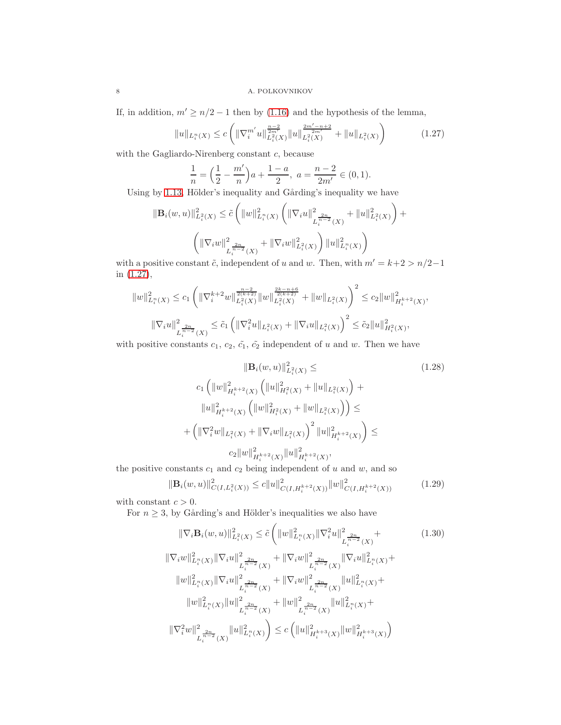If, in addition,  $m' \ge n/2 - 1$  then by [\(1.16\)](#page-5-2) and the hypothesis of the lemma,

<span id="page-7-0"></span>
$$
||u||_{L_i^n(X)} \le c \left( ||\nabla_i^{m'} u||_{L_i^n(X)}^{\frac{n-2}{2m'}} ||u||_{L_i^n(X)}^{\frac{2m'-n+2}{2m'}} + ||u||_{L_i^n(X)} \right) \tag{1.27}
$$

with the Gagliardo-Nirenberg constant c, because

$$
\frac{1}{n} = \left(\frac{1}{2} - \frac{m'}{n}\right)a + \frac{1-a}{2}, \ a = \frac{n-2}{2m'} \in (0,1).
$$

Using by [1.13,](#page-4-0) Hölder's inequality and Gårding's inequality we have

$$
\begin{aligned} \|\mathbf{B}_i(w,u)\|_{L_i^2(X)}^2 &\leq \tilde{c} \left( \|w\|_{L_i^n(X)}^2 \left( \|\nabla_i u\|_{L_i^{\frac{2n}{n-2}}(X)}^2 + \|u\|_{L_i^2(X)}^2 \right) + \right. \\ & \left. \left( \|\nabla_i w\|_{L_i^{\frac{2n}{n-2}}(X)}^2 + \|\nabla_i w\|_{L_i^2(X)}^2 \right) \|u\|_{L_i^n(X)}^2 \right) \end{aligned}
$$

with a positive constant  $\tilde{c}$ , independent of u and w. Then, with  $m' = k + 2 > n/2 - 1$ in [\(1.27\)](#page-7-0),

$$
||w||_{L_i^n(X)}^2 \le c_1 \left( ||\nabla_i^{k+2} w||_{L_i^2(X)}^{\frac{n-2}{2(k+2)}} ||w||_{L_i^2(X)}^{\frac{2k-n+6}{2(k+2)}} + ||w||_{L_i^2(X)} \right)^2 \le c_2 ||w||_{H_i^{k+2}(X)}^2,
$$
  

$$
||\nabla_i u||_{L_i^{\frac{2n}{n-2}}(X)}^2 \le \tilde{c}_1 \left( ||\nabla_i^2 u||_{L_i^2(X)} + ||\nabla_i u||_{L_i^2(X)} \right)^2 \le \tilde{c}_2 ||u||_{H_i^2(X)}^2,
$$

with positive constants  $c_1, c_2, \tilde{c_1}, \tilde{c_2}$  independent of u and w. Then we have

$$
\|\mathbf{B}_{i}(w,u)\|_{L_{i}^{2}(X)}^{2} \leq \qquad (1.28)
$$
\n
$$
c_{1} \left( \|w\|_{H_{i}^{k+2}(X)}^{2} \left( \|u\|_{H_{i}^{2}(X)}^{2} + \|u\|_{L_{i}^{2}(X)} \right) + \|u\|_{H_{i}^{k+2}(X)}^{2} \left( \|w\|_{H_{i}^{2}(X)}^{2} + \|w\|_{L_{i}^{2}(X)} \right) \right) \leq
$$
\n
$$
+ \left( \|\nabla_{i}^{2}w\|_{L_{i}^{2}(X)} + \|\nabla_{i}w\|_{L_{i}^{2}(X)} \right)^{2} \|u\|_{H_{i}^{k+2}(X)}^{2} \right) \leq
$$
\n
$$
c_{2} \|w\|_{H_{i}^{k+2}(X)}^{2} \|u\|_{H_{i}^{k+2}(X)}^{2},
$$
\n(1.28)

the positive constants  $c_1$  and  $c_2$  being independent of u and w, and so

<span id="page-7-1"></span>
$$
\|\mathbf{B}_{i}(w,u)\|_{C(I,L_{i}^{2}(X))}^{2} \leq c\|u\|_{C(I,H_{i}^{k+2}(X))}^{2}\|w\|_{C(I,H_{i}^{k+2}(X))}^{2}
$$
(1.29)

with constant  $c > 0$ .

For  $n \geq 3$ , by Gårding's and Hölder's inequalities we also have

<span id="page-7-2"></span>
$$
\|\nabla_{i}\mathbf{B}_{i}(w,u)\|_{L_{i}^{2}(X)}^{2} \leq \tilde{c}\left(\|w\|_{L_{i}^{n}(X)}^{2}\|\nabla_{i}^{2}u\|_{L_{i}^{\frac{2n}{n-2}}(X)}^{2}\right) + \|\nabla_{i}w\|_{L_{i}^{n}(X)}^{2}\|\nabla_{i}u\|_{L_{i}^{\frac{2n}{n-2}}(X)}^{2} + \|\nabla_{i}w\|_{L_{i}^{\frac{2n}{n-2}}(X)}^{2}\|\nabla_{i}u\|_{L_{i}^{n}(X)}^{2} + \|\nabla_{i}w\|_{L_{i}^{\frac{2n}{n-2}}(X)}^{2}\|\nabla_{i}u\|_{L_{i}^{n}(X)}^{2} + \|\nabla_{i}\|_{L_{i}^{\frac{2n}{n-2}}(X)}^{2}\|\nabla_{i}u\|_{L_{i}^{\frac{2n}{n-2}}(X)}^{2} + \|\nabla_{i}w\|_{L_{i}^{\frac{2n}{n-2}}(X)}^{2}\|u\|_{L_{i}^{n}(X)}^{2} + \|\nabla_{i}\|_{L_{i}^{\frac{2n}{n-2}}(X)}^{2}\|u\|_{L_{i}^{n}(X)}^{2} + \|\nabla_{i}w\|_{L_{i}^{\frac{2n}{n-2}}(X)}^{2}\|u\|_{L_{i}^{\frac{2n}{n-2}}(X)}^{2} + \|\nabla_{i}w\|_{L_{i}^{\frac{2n}{n-2}}(X)}^{2}\|u\|_{L_{i}^{\frac{2n}{n-2}}(X)}^{2} + \|\nabla_{i}w\|_{L_{i}^{\frac{2n}{n-2}}(X)}^{2}\|u\|_{L_{i}^{\frac{2n}{n-2}}(X)}^{2} + \|\nabla_{i}w\|_{L_{i}^{\frac{2n}{n-2}}(X)}^{2}\|w\|_{L_{i}^{\frac{2n}{n-2}}(X)}^{2} + \|\nabla_{i}w\|_{L_{i}^{\frac{2n}{n-2}}(X)}^{2}\|w\|_{L_{i}^{\frac{2n}{n-2}}(X)}^{2} + \|\nabla_{i}w\|_{L_{i}^{\frac{2n}{n-2}}
$$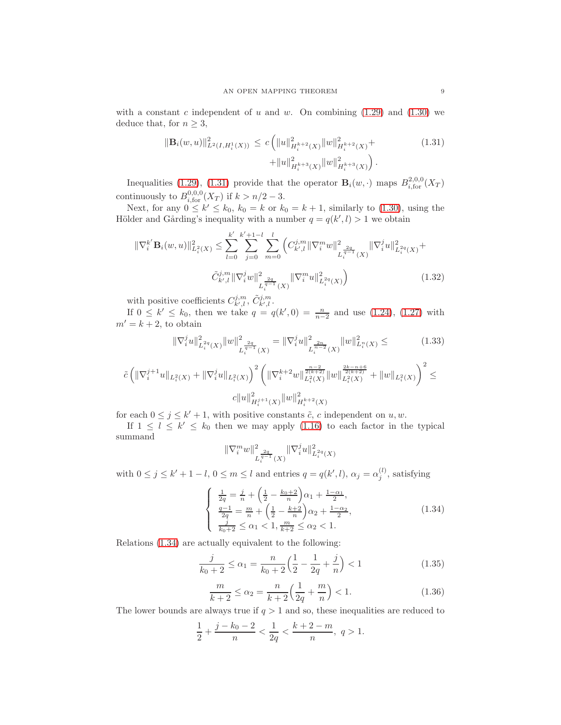with a constant c independent of u and w. On combining  $(1.29)$  and  $(1.30)$  we deduce that, for  $n \geq 3$ ,

<span id="page-8-0"></span>
$$
\|\mathbf{B}_{i}(w,u)\|_{L^{2}(I,H_{i}^{1}(X))}^{2} \leq c \left( \|u\|_{H_{i}^{k+2}(X)}^{2} \|w\|_{H_{i}^{k+2}(X)}^{2} + \|\mathbf{u}\|_{H_{i}^{k+3}(X)}^{2} \|w\|_{H_{i}^{k+3}(X)}^{2} \right).
$$
\n(1.31)

Inequalities [\(1.29\)](#page-7-1), [\(1.31\)](#page-8-0) provide that the operator  $\mathbf{B}_i(w, \cdot)$  maps  $B_{i, \text{for}}^{2,0,0}(X_T)$ continuously to  $B^{0,0,0}_{i,\text{for}}(X_T)$  if  $k > n/2 - 3$ .

Next, for any  $0 \le k' \le k_0$ ,  $k_0 = k$  or  $k_0 = k + 1$ , similarly to [\(1.30\)](#page-7-2), using the Hölder and Gårding's inequality with a number  $q = q(k', l) > 1$  we obtain

$$
\|\nabla_i^{k'} \mathbf{B}_i(w, u)\|_{L_i^2(X)}^2 \le \sum_{l=0}^k \sum_{j=0}^{k'} \sum_{m=0}^{k'+1-l} \left( C_{k',l}^{j,m} \|\nabla_i^m w\|_{L_i^{\frac{2q}{q-1}}(X)}^2 \|\nabla_i^j u\|_{L_i^2(Q)}^2 + \tilde{C}_{k',l}^{j,m} \|\nabla_i^j w\|_{L_i^{\frac{2q}{q-1}}(X)}^2 \|\nabla_i^m w\|_{L_i^2(Q)}^2 \right)
$$
\n(1.32)

with positive coefficients  $C^{j,m}_{k',l}$ ,  $\tilde{C}^{j,m}_{k',l}$ .

If  $0 \le k' \le k_0$ , then we take  $q = q(k', 0) = \frac{n}{n-2}$  and use [\(1.24\)](#page-6-2), [\(1.27\)](#page-7-0) with  $m' = k + 2$ , to obtain

<span id="page-8-5"></span><span id="page-8-4"></span>
$$
\|\nabla_i^j u\|_{L_i^{2q}(X)}^2 \|w\|_{L_i^{\frac{2q}{q-1}}(X)}^2 = \|\nabla_i^j u\|_{L_i^{\frac{2n}{n-2}}(X)}^2 \|w\|_{L_i^n(X)}^2 \leq \tag{1.33}
$$

$$
\tilde{c}\left(\|\nabla^{j+1}_i u\|_{L^2_i(X)}+\|\nabla^{j}_i u\|_{L^2_i(X)}\right)^2\left(\|\nabla^{k+2}_i w\|_{L^2_i(X)}^{\frac{n-2}{2(k+2)}}\|w\|_{L^2_i(X)}^{\frac{2k-n+6}{2(k+2)}}+\|w\|_{L^2_i(X)}\right)^2\leq \\ c\|u\|_{H^{j+1}_i(X)}^2\|w\|_{H^{k+2}_i(X)}^2
$$

for each  $0 \le j \le k' + 1$ , with positive constants  $\tilde{c}$ , c independent on  $u, w$ .

If  $1 \leq l \leq k' \leq k_0$  then we may apply [\(1.16\)](#page-5-2) to each factor in the typical summand

$$
\|\nabla_i^m w\|^2_{L_i^{\frac{2q}{q-1}}(X)}\|\nabla_i^j u\|^2_{L_i^{2q}(X)}
$$

with  $0 \le j \le k' + 1 - l$ ,  $0 \le m \le l$  and entries  $q = q(k', l)$ ,  $\alpha_j = \alpha_j^{(l)}$ , satisfying

<span id="page-8-1"></span>
$$
\begin{cases}\n\frac{1}{2q} = \frac{j}{n} + \left(\frac{1}{2} - \frac{k_0 + 2}{n}\right)\alpha_1 + \frac{1 - \alpha_1}{2}, \n\frac{q - 1}{2q} = \frac{m}{n} + \left(\frac{1}{2} - \frac{k + 2}{n}\right)\alpha_2 + \frac{1 - \alpha_2}{2}, \n\frac{j}{k_0 + 2} \le \alpha_1 < 1, \frac{m}{k + 2} \le \alpha_2 < 1.\n\end{cases} \tag{1.34}
$$

Relations [\(1.34\)](#page-8-1) are actually equivalent to the following:

<span id="page-8-2"></span>
$$
\frac{j}{k_0 + 2} \le \alpha_1 = \frac{n}{k_0 + 2} \left( \frac{1}{2} - \frac{1}{2q} + \frac{j}{n} \right) < 1 \tag{1.35}
$$

<span id="page-8-3"></span>
$$
\frac{m}{k+2} \le \alpha_2 = \frac{n}{k+2} \left( \frac{1}{2q} + \frac{m}{n} \right) < 1. \tag{1.36}
$$

The lower bounds are always true if  $q > 1$  and so, these inequalities are reduced to

$$
\frac{1}{2} + \frac{j - k_0 - 2}{n} < \frac{1}{2q} < \frac{k + 2 - m}{n}, \ q > 1.
$$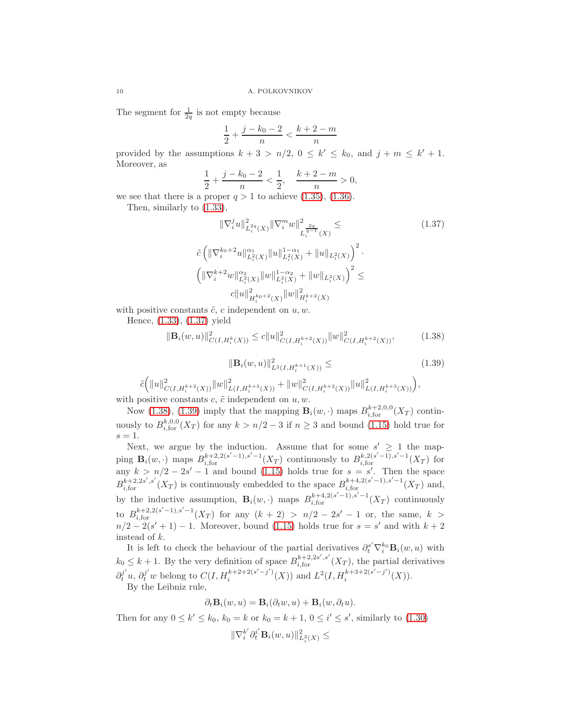The segment for  $\frac{1}{2q}$  is not empty because

$$
\frac{1}{2} + \frac{j - k_0 - 2}{n} < \frac{k + 2 - m}{n}
$$

provided by the assumptions  $k + 3 > n/2$ ,  $0 \le k' \le k_0$ , and  $j + m \le k' + 1$ . Moreover, as

$$
\frac{1}{2} + \frac{j - k_0 - 2}{n} < \frac{1}{2}, \quad \frac{k + 2 - m}{n} > 0,
$$

we see that there is a proper  $q > 1$  to achieve  $(1.35)$ ,  $(1.36)$ .

Then, similarly to [\(1.33\)](#page-8-4),

<span id="page-9-0"></span>
$$
\|\nabla_{i}^{j}u\|_{L_{i}^{2q}(X)}^{2}\|\nabla_{i}^{m}w\|_{L_{i}^{\frac{2q}{q-1}}(X)}^{2} \leq \qquad (1.37)
$$

$$
\tilde{c}\left(\|\nabla_{i}^{k_{0}+2}u\|_{L_{i}^{2}(X)}^{\alpha_{1}}\|u\|_{L_{i}^{2}(X)}^{1-\alpha_{1}}+\|u\|_{L_{i}^{2}(X)}\right)^{2} \cdot \left(\|\nabla_{i}^{k+2}w\|_{L_{i}^{2}(X)}^{\alpha_{2}}\|w\|_{L_{i}^{2}(X)}^{1-\alpha_{2}}+\|w\|_{L_{i}^{2}(X)}\right)^{2} \leq \qquad c\|u\|_{H_{i}^{k_{0}+2}(X)}^{2}\|w\|_{H_{i}^{k+2}(X)}^{2}
$$

with positive constants  $\tilde{c}$ , c independent on  $u, w$ .

Hence, [\(1.33\)](#page-8-4), [\(1.37\)](#page-9-0) yield

<span id="page-9-2"></span><span id="page-9-1"></span>
$$
\|\mathbf{B}_{i}(w,u)\|_{C(I,H_{i}^{k}(X))}^{2} \leq c\|u\|_{C(I,H_{i}^{k+2}(X))}^{2}\|w\|_{C(I,H_{i}^{k+2}(X))}^{2},\tag{1.38}
$$

$$
\|\mathbf{B}_{i}(w,u)\|_{L^{2}(I,H_{i}^{k+1}(X))}^{2} \leq \qquad (1.39)
$$

$$
\tilde{c}\Big(\|u\|_{C(I,H_{i}^{k+2}(X))}^{2}\|w\|_{L(I,H_{i}^{k+3}(X))}^{2} + \|w\|_{C(I,H_{i}^{k+2}(X))}^{2}\|u\|_{L(I,H_{i}^{k+3}(X))}^{2}\Big),
$$

with positive constants  $c, \tilde{c}$  independent on  $u, w$ .

Now [\(1.38\)](#page-9-1), [\(1.39\)](#page-9-2) imply that the mapping  $\mathbf{B}_{i}(w, \cdot)$  maps  $B_{i,\text{for}}^{k+2,0,0}(X_T)$  continuously to  $B_{i, \text{for}}^{k,0,0}(X_T)$  for any  $k > n/2 - 3$  if  $n \geq 3$  and bound [\(1.15\)](#page-5-4) hold true for  $s=1$ .

Next, we argue by the induction. Assume that for some  $s' \geq 1$  the mapping  $\mathbf{B}_i(w, \cdot)$  maps  $B_{i,\text{for}}^{k+2,2(s'-1),s'-1}(X_T)$  continuously to  $B_{i,\text{for}}^{k,2(s'-1),s'-1}(X_T)$  for any  $k > n/2 - 2s' - 1$  and bound [\(1.15\)](#page-5-4) holds true for  $s = s'$ . Then the space  $B_{i,\text{for}}^{k+2,2s',s'}(X_T)$  is continuously embedded to the space  $B_{i,\text{for}}^{k+4,2(s'-1),s'-1}(X_T)$  and, by the inductive assumption,  $\mathbf{B}_i(w, \cdot)$  maps  $B_{i, \text{for}}^{k+4, 2(s'-1), s'-1}(X_T)$  continuously to  $B_{i, \text{for}}^{k+2, 2(s'-1), s'-1}(X_T)$  for any  $(k+2) > n/2 - 2s' - 1$  or, the same,  $k >$  $n/2 - 2(s'+1) - 1$ . Moreover, bound [\(1.15\)](#page-5-4) holds true for  $s = s'$  and with  $k+2$ instead of k.

It is left to check the behaviour of the partial derivatives  $\partial_t^{s'} \nabla_i^{k_0} \mathbf{B}_i(w, u)$  with  $k_0 \leq k+1$ . By the very definition of space  $B_{i,\text{for}}^{k+2,2s',s'}(X_T)$ , the partial derivatives  $\partial_t^{j'} u$ ,  $\partial_t^{j'} w$  belong to  $C(I, H_i^{k+2+2(s'-j')})$  $\binom{k+2+2(s'-j')}{i}(X)$  and  $L^2(I, H_i^{k+3+2(s'-j')})$  $i^{k+\delta+2(s-j)}(X)$ ). By the Leibniz rule,

$$
\partial_t \mathbf{B}_i(w, u) = \mathbf{B}_i(\partial_t w, u) + \mathbf{B}_i(w, \partial_t u).
$$

Then for any  $0 \le k' \le k_0$ ,  $k_0 = k$  or  $k_0 = k + 1$ ,  $0 \le i' \le s'$ , similarly to [\(1.30\)](#page-7-2)

$$
\|\nabla_i^{k'}\partial_t^{i'}\mathbf{B}_i(w,u)\|_{L_i^2(X)}^2\leq
$$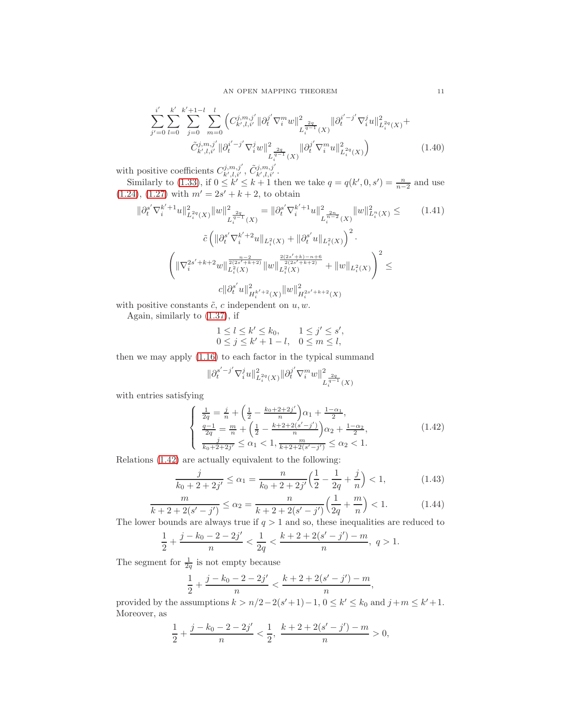AN OPEN MAPPING THEOREM 11

$$
\sum_{j'=0}^{i'} \sum_{l=0}^{k'} \sum_{j=0}^{k'+1-l} \sum_{m=0}^{l} \left( C_{k',l,i'}^{j,m,j'} \|\partial_t^{j'} \nabla_i^m w\|_{L_i^{\frac{2q}{q-1}}(X)}^2 \|\partial_t^{i'-j'} \nabla_i^j w\|_{L_i^{\frac{2q}{q-1}}(X)}^2 + \tilde{C}_{k',l,i'}^{j,m,j'} \|\partial_t^{i'-j'} \nabla_i^j w\|_{L_i^{\frac{2q}{q-1}}(X)}^2 \|\partial_t^{j'} \nabla_i^m w\|_{L_i^{\frac{2q}{q-1}}(X)}^2 \right) \tag{1.40}
$$

with positive coefficients  $C^{j,m,j'}_{k',l,i'}$ ,  $\tilde{C}^{j,m,j'}_{k',l,i'}$ .

Similarly to [\(1.33\)](#page-8-4), if  $0 \leq k' \leq k+1$  then we take  $q = q(k', 0, s') = \frac{n}{n-2}$  and use  $(1.24), (1.27)$  $(1.24), (1.27)$  $(1.24), (1.27)$  with  $m' = 2s' + k + 2$ , to obtain

<span id="page-10-3"></span>
$$
\|\partial_t^{s'} \nabla_i^{k'+1} u\|_{L_i^{2q}(X)}^2 \|w\|_{L_i^{q-1}(X)}^2 = \|\partial_t^{s'} \nabla_i^{k'+1} u\|_{L_i^{2q}(X)}^2 \|w\|_{L_i^{2}(X)}^2 \leq \qquad (1.41)
$$

$$
\tilde{c} \left( \|\partial_t^{s'} \nabla_i^{k'+2} u\|_{L_i^{2}(X)} + \|\partial_t^{s'} u\|_{L_i^{2}(X)} \right)^2.
$$

$$
\left( \|\nabla_i^{2s'+k+2} w\|_{L_i^{2}(X)}^{\frac{n-2}{2(2s'+k+2)}} \|w\|_{L_i^{2}(X)}^{\frac{2(2s'+k)-n+6}{2(2s'+k+2)}} + \|w\|_{L_i^{2}(X)} \right)^2 \leq
$$

$$
c \|\partial_t^{s'} u\|_{H_i^{k'+2}(X)}^2 \|w\|_{H_i^{2s'+k+2}(X)}^2
$$

with positive constants  $\tilde{c}$ , c independent on  $u, w$ .

Again, similarly to [\(1.37\)](#page-9-0), if

$$
1 \leq l \leq k' \leq k_0, \qquad 1 \leq j' \leq s',
$$
  

$$
0 \leq j \leq k' + 1 - l, \quad 0 \leq m \leq l,
$$

then we may apply [\(1.16\)](#page-5-2) to each factor in the typical summand

$$
\|\partial_{t}^{s'-j'}\nabla_{i}^{j}u\|_{L^{2q}_{i}(X)}^{2}\|\partial_{t}^{j'}\nabla_{i}^{m}w\|_{L^{\frac{2q}{q-1}}(X)}^{2}
$$

with entries satisfying

<span id="page-10-0"></span>
$$
\begin{cases} \n\frac{1}{2q} = \frac{j}{n} + \left(\frac{1}{2} - \frac{k_0 + 2 + 2j'}{n}\right)\alpha_1 + \frac{1 - \alpha_1}{2},\\ \n\frac{q - 1}{2q} = \frac{m}{n} + \left(\frac{1}{2} - \frac{k + 2 + 2(s' - j')}{n}\right)\alpha_2 + \frac{1 - \alpha_2}{2},\\ \n\frac{j}{k_0 + 2 + 2j'} \le \alpha_1 < 1, \frac{m}{k + 2 + 2(s' - j')} \le \alpha_2 < 1. \n\end{cases} \tag{1.42}
$$

Relations [\(1.42\)](#page-10-0) are actually equivalent to the following:

<span id="page-10-1"></span>
$$
\frac{j}{k_0 + 2 + 2j'} \le \alpha_1 = \frac{n}{k_0 + 2 + 2j'} \left(\frac{1}{2} - \frac{1}{2q} + \frac{j}{n}\right) < 1,\tag{1.43}
$$

<span id="page-10-2"></span>
$$
\frac{m}{k+2+2(s'-j')} \le \alpha_2 = \frac{n}{k+2+2(s'-j')} \left(\frac{1}{2q} + \frac{m}{n}\right) < 1.
$$
 (1.44)

The lower bounds are always true if  $q > 1$  and so, these inequalities are reduced to

$$
\frac{1}{2} + \frac{j - k_0 - 2 - 2j'}{n} < \frac{1}{2q} < \frac{k + 2 + 2(s' - j') - m}{n}, \ q > 1.
$$

The segment for  $\frac{1}{2q}$  is not empty because

$$
\frac{1}{2} + \frac{j - k_0 - 2 - 2j'}{n} < \frac{k + 2 + 2(s' - j') - m}{n},
$$

provided by the assumptions  $k > n/2 - 2(s'+1) - 1$ ,  $0 \le k' \le k_0$  and  $j+m \le k'+1$ . Moreover, as

$$
\frac{1}{2} + \frac{j - k_0 - 2 - 2j'}{n} < \frac{1}{2}, \frac{k + 2 + 2(s' - j') - m}{n} > 0,
$$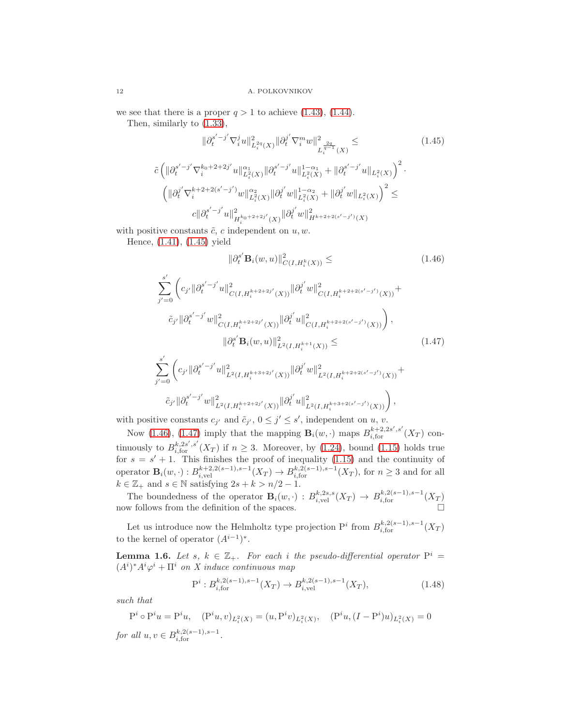we see that there is a proper  $q > 1$  to achieve [\(1.43\)](#page-10-1), [\(1.44\)](#page-10-2).

Then, similarly to [\(1.33\)](#page-8-4),

<span id="page-11-0"></span>
$$
\|\partial_t^{s'-j'}\nabla_i^j u\|_{L_i^{2q}(X)}^2 \|\partial_t^{j'}\nabla_i^m w\|_{L_i^{q-1}(X)}^2 \leq \qquad (1.45)
$$
  

$$
\tilde{c}\left(\|\partial_t^{s'-j'}\nabla_i^{k_0+2+2j'} u\|_{L_i^{2}(X)}^{\alpha_1} \|\partial_t^{s'-j'} u\|_{L_i^{2}(X)}^{1-\alpha_1} + \|\partial_t^{s'-j'} u\|_{L_i^{2}(X)}\right)^2.
$$

$$
\left(\|\partial_t^{j'}\nabla_i^{k+2+2(s'-j')} w\|_{L_i^{2}(X)}^{\alpha_2} \|\partial_t^{j'} w\|_{L_i^{2}(X)}^{1-\alpha_2} + \|\partial_t^{j'} w\|_{L_i^{2}(X)}\right)^2 \leq \qquad c\|\partial_t^{s'-j'} u\|_{H_i^{k_0+2+2j'}(X)}^2 \|\partial_t^{j'} w\|_{H_k^{k+2+2(s'-j')}(X)}^2
$$

with positive constants  $\tilde{c}$ , c independent on  $u, w$ .

Hence, [\(1.41\)](#page-10-3), [\(1.45\)](#page-11-0) yield

<span id="page-11-2"></span><span id="page-11-1"></span>
$$
\|\partial_t^{s'} \mathbf{B}_i(w, u)\|_{C(I, H_i^k(X))}^2 \leq \qquad (1.46)
$$
\n
$$
\sum_{j'=0}^{s'} \left( c_{j'} \|\partial_t^{s'-j'} u\|_{C(I, H_i^{k+2+2j'}(X))}^2 \|\partial_t^{j'} w\|_{C(I, H_i^{k+2+2(s'-j')}(X))}^2 + \right.
$$
\n
$$
\tilde{c}_{j'} \|\partial_t^{s'-j'} w\|_{C(I, H_i^{k+2+2j'}(X))}^2 \|\partial_t^{j'} u\|_{C(I, H_i^{k+2+2(s'-j')}(X))}^2 \right),
$$
\n
$$
\|\partial_t^{s'} \mathbf{B}_i(w, u)\|_{L^2(I, H_i^{k+1}(X))}^2 \leq \qquad (1.47)
$$
\n
$$
\sum_{j'=0}^{s'} \left( c_{j'} \|\partial_t^{s'-j'} u\|_{L^2(I, H_i^{k+3+2j'}(X))}^2 \|\partial_t^{j'} w\|_{L^2(I, H_i^{k+2+2(s'-j')}(X))}^2 + \right.
$$
\n
$$
\tilde{c}_{j'} \|\partial_t^{s'-j'} w\|_{L^2(I, H_i^{k+2+2j'}(X))}^2 \|\partial_t^{j'} w\|_{L^2(I, H_i^{k+3+2(s'-j')}(X))}^2 \right),
$$
\n(1.47)

with positive constants  $c_{j'}$  and  $\tilde{c}_{j'}$ ,  $0 \leq j' \leq s'$ , independent on u, v.

Now [\(1.46\)](#page-11-1), [\(1.47\)](#page-11-2) imply that the mapping  $\mathbf{B}_i(w, \cdot)$  maps  $B_{i,\text{for}}^{k+2,2s',s'}(X_T)$  continuously to  $B_{i,\text{for}}^{k,2s',s'}(X_T)$  if  $n \geq 3$ . Moreover, by [\(1.24\)](#page-6-2), bound [\(1.15\)](#page-5-4) holds true for  $s = s' + 1$ . This finishes the proof of inequality [\(1.15\)](#page-5-4) and the continuity of operator  $B_i(w, \cdot) : B_{i,\text{vel}}^{k+2,2(s-1),s-1}(X_T) \to B_{i,\text{for}}^{k,2(s-1),s-1}(X_T)$ , for  $n \geq 3$  and for all  $k \in \mathbb{Z}_+$  and  $s \in \mathbb{N}$  satisfying  $2s + k > n/2 - 1$ .

The boundedness of the operator  $\mathbf{B}_i(w, \cdot) : B^{k,2s,s}_{i,\text{vel}}(X_T) \to B^{k,2(s-1),s-1}_{i,\text{for}}(X_T)$ now follows from the definition of the spaces.

Let us introduce now the Helmholtz type projection  $P^i$  from  $B^{k,2(s-1),s-1}_{i,\text{for}}(X_T)$ to the kernel of operator  $(A^{i-1})^*$ .

<span id="page-11-3"></span>**Lemma 1.6.** Let s,  $k \in \mathbb{Z}_+$ . For each i the pseudo-differential operator  $P^i =$  $(A<sup>i</sup>)<sup>*</sup>A<sup>i</sup>\varphi<sup>i</sup> + \Pi<sup>i</sup>$  on X induce continuous map

$$
P^i: B_{i,\text{for}}^{k,2(s-1),s-1}(X_T) \to B_{i,\text{vel}}^{k,2(s-1),s-1}(X_T),\tag{1.48}
$$

such that

$$
P^i \circ P^i u = P^i u, \quad (P^i u, v)_{L_i^2(X)} = (u, P^i v)_{L_i^2(X)}, \quad (P^i u, (I - P^i) u)_{L_i^2(X)} = 0
$$

for all  $u, v \in B_{i, \text{for}}^{k, 2(s-1), s-1}$ .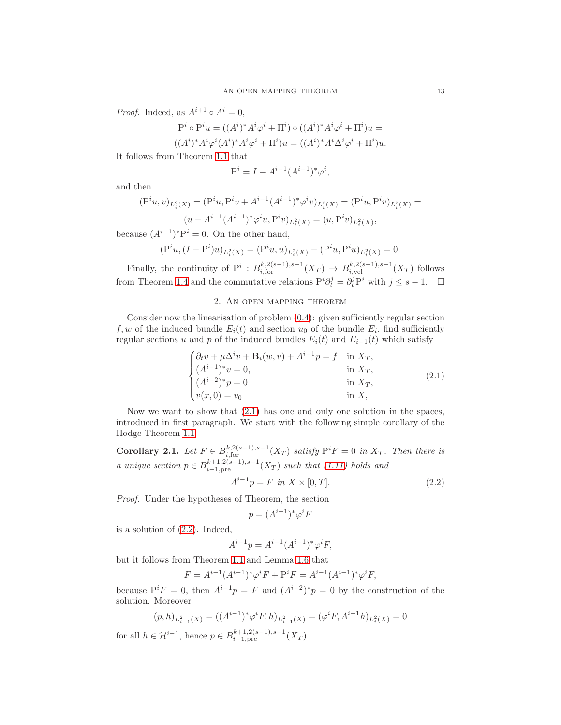*Proof.* Indeed, as  $A^{i+1} \circ A^i = 0$ ,

$$
P^i \circ P^i u = ((A^i)^* A^i \varphi^i + \Pi^i) \circ ((A^i)^* A^i \varphi^i + \Pi^i) u =
$$

$$
((Ai)*Ai\varphii(Ai)*Ai\varphii + \Pii)u = ((Ai)*Ai\Deltai\varphii + \Pii)u.
$$

It follows from Theorem [1.1](#page-2-3) that

$$
P^{i} = I - A^{i-1} (A^{i-1})^{*} \varphi^{i},
$$

and then

$$
\begin{aligned} (\mathbf{P}^{i}u,v)_{L_{i}^{2}(X)}&=(\mathbf{P}^{i}u,\mathbf{P}^{i}v+A^{i-1}(A^{i-1})^{*}\varphi^{i}v)_{L_{i}^{2}(X)}=(\mathbf{P}^{i}u,\mathbf{P}^{i}v)_{L_{i}^{2}(X)}=(u-A^{i-1}(A^{i-1})^{*}\varphi^{i}u,\mathbf{P}^{i}v)_{L_{i}^{2}(X)}=(u,\mathbf{P}^{i}v)_{L_{i}^{2}(X)}, \end{aligned}
$$

because  $(A^{i-1})^*P^i = 0$ . On the other hand,

$$
(\mathcal{P}^i u, (I - \mathcal{P}^i)u)_{L_i^2(X)} = (\mathcal{P}^i u, u)_{L_i^2(X)} - (\mathcal{P}^i u, \mathcal{P}^i u)_{L_i^2(X)} = 0.
$$

Finally, the continuity of  $P^i: B^{k,2(s-1),s-1}_{i,\text{for}}(X_T) \to B^{k,2(s-1),s-1}_{i,\text{vel}}(X_T)$  follows from Theorem [1.4](#page-5-5) and the commutative relations  $P^i \partial_t^j = \partial_t^j P^i$  with  $j \leq s - 1$ .  $\Box$ 

## 2. An open mapping theorem

Consider now the linearisation of problem [\(0.4\)](#page-1-0): given sufficiently regular section f, w of the induced bundle  $E_i(t)$  and section  $u_0$  of the bundle  $E_i$ , find sufficiently regular sections u and p of the induced bundles  $E_i(t)$  and  $E_{i-1}(t)$  which satisfy

<span id="page-12-0"></span>
$$
\begin{cases} \partial_t v + \mu \Delta^i v + \mathbf{B}_i(w, v) + A^{i-1} p = f & \text{in } X_T, \\ (A^{i-1})^* v = 0, & \text{in } X_T, \\ (A^{i-2})^* p = 0 & \text{in } X_T, \\ v(x, 0) = v_0 & \text{in } X, \end{cases}
$$
(2.1)

Now we want to show that [\(2.1\)](#page-12-0) has one and only one solution in the spaces, introduced in first paragraph. We start with the following simple corollary of the Hodge Theorem [1.1.](#page-2-3)

<span id="page-12-2"></span>**Corollary 2.1.** Let  $F \in B_{i, \text{for}}^{k, 2(s-1), s-1}(X_T)$  satisfy  $P^i F = 0$  in  $X_T$ . Then there is a unique section  $p \in B_{i-1,pre}^{k+1,2(s-1),s-1}(X_T)$  such that  $(1.11)$  holds and

<span id="page-12-1"></span>
$$
A^{i-1}p = F \text{ in } X \times [0, T]. \tag{2.2}
$$

Proof. Under the hypotheses of Theorem, the section

$$
p = (A^{i-1})^* \varphi^i F
$$

is a solution of [\(2.2\)](#page-12-1). Indeed,

$$
A^{i-1}p = A^{i-1}(A^{i-1})^* \varphi^i F,
$$

but it follows from Theorem [1.1](#page-2-3) and Lemma [1.6](#page-11-3) that

$$
F = A^{i-1}(A^{i-1})^* \varphi^i F + P^i F = A^{i-1}(A^{i-1})^* \varphi^i F,
$$

because  $P^i F = 0$ , then  $A^{i-1} p = F$  and  $(A^{i-2})^* p = 0$  by the construction of the solution. Moreover

$$
(p,h)_{L_{i-1}^2(X)} = ((A^{i-1})^* \varphi^i F, h)_{L_{i-1}^2(X)} = (\varphi^i F, A^{i-1} h)_{L_i^2(X)} = 0
$$

for all  $h \in \mathcal{H}^{i-1}$ , hence  $p \in B_{i-1, \text{pre}}^{k+1, 2(s-1), s-1}(X_T)$ .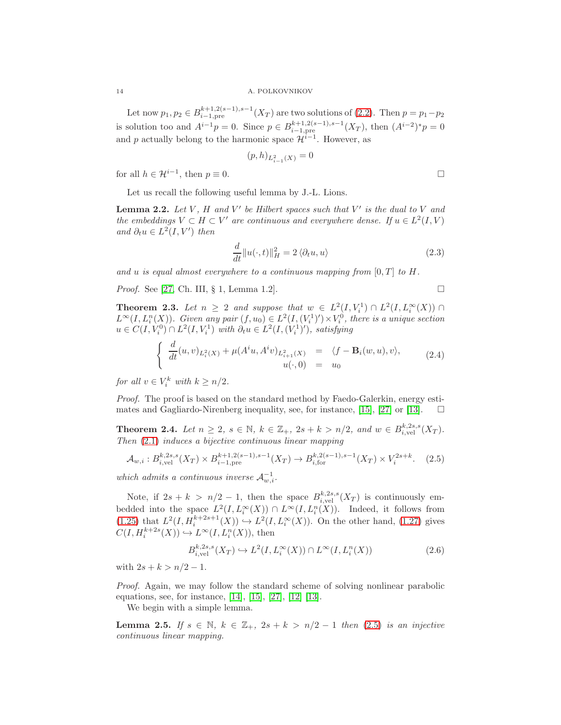Let now  $p_1, p_2 \in B_{i-1, \text{pre}}^{k+1, 2(s-1), s-1}(X_T)$  are two solutions of [\(2.2\)](#page-12-1). Then  $p = p_1 - p_2$ is solution too and  $A^{i-1}p = 0$ . Since  $p \in B_{i-1,pre}^{k+1,2(s-1),s-1}(X_T)$ , then  $(A^{i-2})^*p = 0$ and p actually belong to the harmonic space  $\mathcal{H}^{i-1}$ . However, as

$$
(p,h)_{L^2_{i-1}(X)} = 0
$$

for all  $h \in \mathcal{H}^{i-1}$ , then  $p \equiv 0$ .

Let us recall the following useful lemma by J.-L. Lions.

<span id="page-13-4"></span>**Lemma 2.2.** Let V, H and V' be Hilbert spaces such that V' is the dual to V and the embeddings  $V \subset H \subset V'$  are continuous and everywhere dense. If  $u \in L^2(I, V)$ and  $\partial_t u \in L^2(I, V')$  then

<span id="page-13-1"></span>
$$
\frac{d}{dt}||u(\cdot,t)||_H^2 = 2 \langle \partial_t u, u \rangle \tag{2.3}
$$

and u is equal almost everywhere to a continuous mapping from  $[0, T]$  to H.

*Proof.* See [\[27,](#page-22-0) Ch. III,  $\S$  1, Lemma 1.2].

<span id="page-13-2"></span>**Theorem 2.3.** Let  $n \geq 2$  and suppose that  $w \in L^2(I, V_i^1) \cap L^2(I, L_i^{\infty}(X)) \cap L^2(I, L_i^{\infty}(X))$  $L^{\infty}(I, L_i^n(X))$ . Given any pair  $(f, u_0) \in L^2(I, (V_i^1)') \times V_i^0$ , there is a unique section  $u \in C(I, V_i^0) \cap L^2(I, V_i^1)$  with  $\partial_t u \in L^2(I, (V_i^1)')$ , satisfying

<span id="page-13-3"></span>
$$
\begin{cases}\n\frac{d}{dt}(u,v)_{L_i^2(X)} + \mu(A^i u, A^i v)_{L_{i+1}^2(X)} & = \langle f - \mathbf{B}_i(w, u), v \rangle, \\
u(\cdot, 0) & = u_0\n\end{cases} \tag{2.4}
$$

for all  $v \in V_i^k$  with  $k \geq n/2$ .

Proof. The proof is based on the standard method by Faedo-Galerkin, energy esti-mates and Gagliardo-Nirenberg inequality, see, for instance, [\[15\]](#page-21-11), [\[27\]](#page-22-0) or [\[13\]](#page-21-12).  $\square$ 

<span id="page-13-6"></span>**Theorem 2.4.** Let  $n \geq 2$ ,  $s \in \mathbb{N}$ ,  $k \in \mathbb{Z}_+$ ,  $2s + k > n/2$ , and  $w \in B_{i,\text{vel}}^{k,2s,s}(X_T)$ . Then [\(2.1\)](#page-12-0) induces a bijective continuous linear mapping

<span id="page-13-0"></span>
$$
\mathcal{A}_{w,i}: B_{i,\text{vel}}^{k,2s,s}(X_T) \times B_{i-1,\text{pre}}^{k+1,2(s-1),s-1}(X_T) \to B_{i,\text{for}}^{k,2(s-1),s-1}(X_T) \times V_i^{2s+k}.\tag{2.5}
$$

which admits a continuous inverse  $\mathcal{A}_{w,i}^{-1}$ .

Note, if  $2s + k > n/2 - 1$ , then the space  $B_{i,\text{vel}}^{k,2s,s}(X_T)$  is continuously embedded into the space  $L^2(I, L_i^{\infty}(X)) \cap L^{\infty}(I, L_i^n(X))$ . Indeed, it follows from  $(1.25)$  that  $L^2(I, H_i^{k+2s+1}(X)) \hookrightarrow L^2(I, L_i^{\infty}(X))$ . On the other hand,  $(1.27)$  gives  $C(I, H_i^{k+2s}(X)) \hookrightarrow L^{\infty}(I, L_i^n(X)),$  then

<span id="page-13-5"></span>
$$
B_{i,\text{vel}}^{k,2s,s}(X_T) \hookrightarrow L^2(I, L_i^{\infty}(X)) \cap L^{\infty}(I, L_i^n(X))
$$
\n(2.6)

with  $2s + k > n/2 - 1$ .

Proof. Again, we may follow the standard scheme of solving nonlinear parabolic equations, see, for instance, [\[14\]](#page-21-0), [\[15\]](#page-21-11), [\[27\]](#page-22-0), [\[12\]](#page-21-13) [\[13\]](#page-21-12).

We begin with a simple lemma.

**Lemma 2.5.** If  $s \in \mathbb{N}$ ,  $k \in \mathbb{Z}_+$ ,  $2s + k > n/2 - 1$  then [\(2.5\)](#page-13-0) is an injective continuous linear mapping.

$$
\qquad \qquad \Box
$$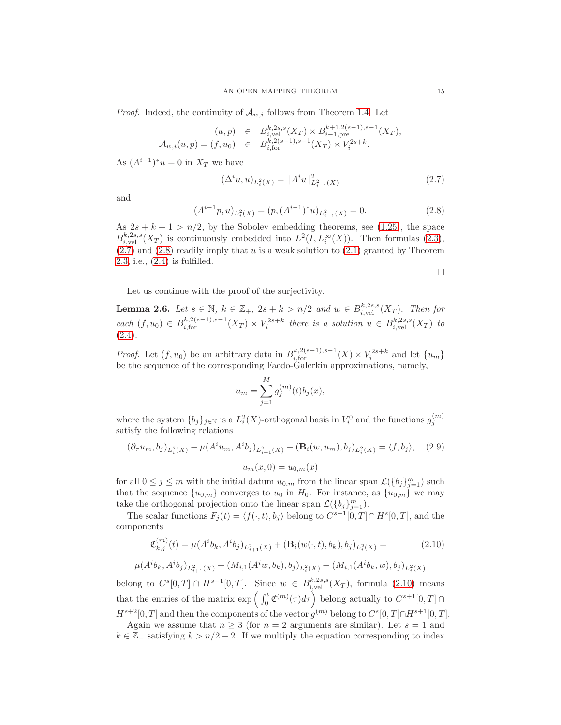*Proof.* Indeed, the continuity of  $\mathcal{A}_{w,i}$  follows from Theorem [1.4.](#page-5-5) Let

$$
(u,p) \in B_{i,\text{vel}}^{k,2s,s}(X_T) \times B_{i-1,\text{pre}}^{k+1,2(s-1),s-1}(X_T),
$$
  

$$
\mathcal{A}_{w,i}(u,p) = (f,u_0) \in B_{i,\text{for}}^{k,2(s-1),s-1}(X_T) \times V_i^{2s+k}.
$$

As  $(A^{i-1})^*u = 0$  in  $X_T$  we have

<span id="page-14-0"></span>
$$
(\Delta^{i} u, u)_{L_{i}^{2}(X)} = ||A^{i} u||_{L_{i+1}^{2}(X)}^{2}
$$
\n(2.7)

and

<span id="page-14-1"></span>
$$
(A^{i-1}p, u)_{L_i^2(X)} = (p, (A^{i-1})^*u)_{L_{i-1}^2(X)} = 0.
$$
\n(2.8)

As  $2s + k + 1 > n/2$ , by the Sobolev embedding theorems, see [\(1.25\)](#page-6-3), the space  $B_{i,\text{vel}}^{k,2s,s}(X_T)$  is continuously embedded into  $L^2(I, L_i^{\infty}(X))$ . Then formulas [\(2.3\)](#page-13-1),  $(2.7)$  and  $(2.8)$  readily imply that u is a weak solution to  $(2.1)$  granted by Theorem [2.3,](#page-13-2) i.e., [\(2.4\)](#page-13-3) is fulfilled.

 $\Box$ 

Let us continue with the proof of the surjectivity.

**Lemma 2.6.** Let  $s \in \mathbb{N}$ ,  $k \in \mathbb{Z}_+$ ,  $2s + k > n/2$  and  $w \in B_{i,\text{vel}}^{k,2s,s}(X_T)$ . Then for each  $(f, u_0) \in B_{i, \text{for}}^{k, 2(s-1), s-1}(X_T) \times V_i^{2s+k}$  there is a solution  $u \in B_{i, \text{vel}}^{k, 2s, s}(X_T)$  to  $(2.4).$  $(2.4).$ 

*Proof.* Let  $(f, u_0)$  be an arbitrary data in  $B_{i, \text{for}}^{k, 2(s-1), s-1}(X) \times V_i^{2s+k}$  and let  $\{u_m\}$ be the sequence of the corresponding Faedo-Galerkin approximations, namely,

$$
u_m = \sum_{j=1}^{M} g_j^{(m)}(t) b_j(x),
$$

where the system  $\{b_j\}_{j\in\mathbb{N}}$  is a  $L_i^2(X)$ -orthogonal basis in  $V_i^0$  and the functions  $g_j^{(m)}$ satisfy the following relations

<span id="page-14-3"></span>
$$
(\partial_{\tau} u_m, b_j)_{L_i^2(X)} + \mu(A^i u_m, A^i b_j)_{L_{i+1}^2(X)} + (\mathbf{B}_i(w, u_m), b_j)_{L_i^2(X)} = \langle f, b_j \rangle, \quad (2.9)
$$

$$
u_m(x, 0) = u_{0,m}(x)
$$

for all  $0 \leq j \leq m$  with the initial datum  $u_{0,m}$  from the linear span  $\mathcal{L}(\{b_j\}_{j=1}^m)$  such that the sequence  $\{u_{0,m}\}$  converges to  $u_0$  in  $H_0$ . For instance, as  $\{u_{0,m}\}$  we may take the orthogonal projection onto the linear span  $\mathcal{L}(\{b_j\}_{j=1}^m)$ .

The scalar functions  $F_j(t) = \langle f(\cdot, t), b_j \rangle$  belong to  $C^{s-1}[0, T] \cap H^s[0, T]$ , and the components

<span id="page-14-2"></span>
$$
\mathfrak{C}_{k,j}^{(m)}(t) = \mu(A^i b_k, A^i b_j)_{L_{i+1}^2(X)} + (\mathbf{B}_i(w(\cdot, t), b_k), b_j)_{L_i^2(X)} = (2.10)
$$

$$
\mu(A^{i}b_{k}, A^{i}b_{j})_{L_{i+1}^{2}(X)} + (M_{i,1}(A^{i}w, b_{k}), b_{j})_{L_{i}^{2}(X)} + (M_{i,1}(A^{i}b_{k}, w), b_{j})_{L_{i}^{2}(X)}
$$

belong to  $C^{s}[0,T] \cap H^{s+1}[0,T]$ . Since  $w \in B_{i,\text{vel}}^{k,2s,s}(X_T)$ , formula  $(2.10)$  means that the entries of the matrix  $\exp\left(\int_0^t \mathfrak{C}^{(m)}(\tau)d\tau\right)$  belong actually to  $C^{s+1}[0,T] \cap$  $H^{s+2}[0,T]$  and then the components of the vector  $g^{(m)}$  belong to  $C^{s}[0,T]\cap H^{s+1}[0,T]$ .

Again we assume that  $n \geq 3$  (for  $n = 2$  arguments are similar). Let  $s = 1$  and  $k \in \mathbb{Z}_+$  satisfying  $k > n/2 - 2$ . If we multiply the equation corresponding to index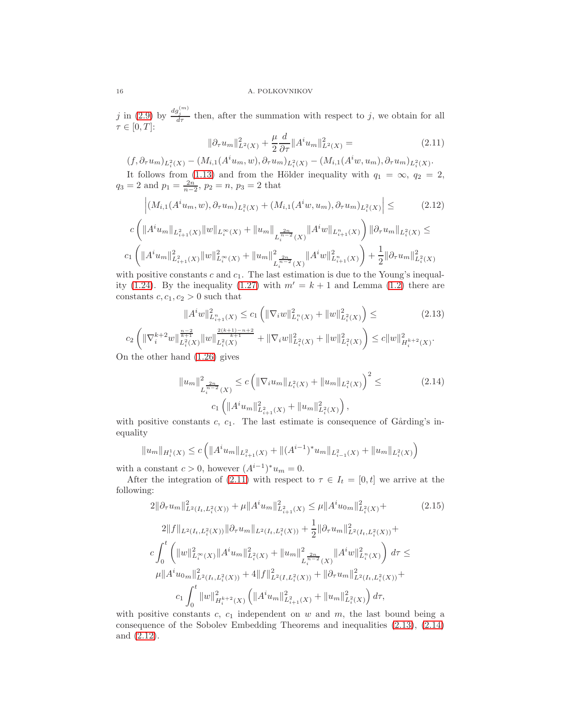j in [\(2.9\)](#page-14-3) by  $\frac{dg_j^{(m)}}{d\tau}$  then, after the summation with respect to j, we obtain for all  $\tau \in [0, T]$ :

<span id="page-15-0"></span>
$$
\|\partial_{\tau}u_m\|_{L^2(X)}^2 + \frac{\mu}{2}\frac{d}{\partial \tau}||A^i u_m||_{L^2(X)}^2 = \tag{2.11}
$$

 $(f, \partial_{\tau} u_m)_{L_i^2(X)} - (M_{i,1}(A^i u_m, w), \partial_{\tau} u_m)_{L_i^2(X)} - (M_{i,1}(A^i w, u_m), \partial_{\tau} u_m)_{L_i^2(X)}$ 

It follows from [\(1.13\)](#page-4-0) and from the Hölder inequality with  $q_1 = \infty$ ,  $q_2 = 2$ ,  $q_3 = 2$  and  $p_1 = \frac{2n}{n-2}$ ,  $p_2 = n$ ,  $p_3 = 2$  that

<span id="page-15-3"></span>
$$
\left| (M_{i,1}(A^{i}u_{m}, w), \partial_{\tau}u_{m})_{L_{i}^{2}(X)} + (M_{i,1}(A^{i}w, u_{m}), \partial_{\tau}u_{m})_{L_{i}^{2}(X)} \right| \leq \qquad (2.12)
$$
  

$$
c \left( \|A^{i}u_{m}\|_{L_{i+1}^{2}(X)} \|w\|_{L_{i}^{\infty}(X)} + \|u_{m}\|_{L_{i}^{\frac{2n}{n-2}}(X)} \|A^{i}w\|_{L_{i+1}^{n}(X)} \right) \| \partial_{\tau}u_{m}\|_{L_{i}^{2}(X)} \leq
$$
  

$$
c_{1} \left( \|A^{i}u_{m}\|_{L_{i+1}^{2}(X)}^{2} \|w\|_{L_{i}^{\infty}(X)}^{2} + \|u_{m}\|_{L_{i}^{\frac{2n}{n-2}}(X)} \|A^{i}w\|_{L_{i+1}^{n}(X)}^{2} \right) + \frac{1}{2} \| \partial_{\tau}u_{m}\|_{L_{i}^{2}(X)}^{2}
$$

with positive constants  $c$  and  $c_1$ . The last estimation is due to the Young's inequal-ity [\(1.24\)](#page-6-2). By the inequality [\(1.27\)](#page-7-0) with  $m' = k + 1$  and Lemma [\(1.2\)](#page-3-4) there are constants  $c, c_1, c_2 > 0$  such that

<span id="page-15-1"></span>
$$
||A^i w||_{L_{i+1}^n(X)}^2 \le c_1 \left( ||\nabla_i w||_{L_i^n(X)}^2 + ||w||_{L_i^n(X)}^2 \right) \le
$$
\n
$$
||A^i w||_{L_{i+1}^n(X)}^2 \le c_1 \left( ||\nabla_i w||_{L_i^n(X)}^2 + ||w||_{L_i^n(X)}^2 \right) \le (2.13)
$$

$$
c_2 \left( \|\nabla_i^{k+2} w\|_{L_i^2(X)}^{\frac{n-2}{k+1}} \|w\|_{L_i^2(X)}^{\frac{2(k+1)-n+2}{k+1}} + \|\nabla_i w\|_{L_i^2(X)}^2 + \|w\|_{L_i^2(X)}^2 \right) \leq c \|w\|_{H_i^{k+2}(X)}^2.
$$
 On the other hand (1.26) gives

<span id="page-15-2"></span>
$$
||u_m||_{L_i^{\frac{2n}{n-2}}(X)}^2 \le c \left( ||\nabla_i u_m||_{L_i^2(X)} + ||u_m||_{L_i^2(X)} \right)^2 \le c_1 \left( ||A^i u_m||_{L_{i+1}^2(X)}^2 + ||u_m||_{L_i^2(X)}^2 \right),
$$
\n(2.14)

with positive constants  $c, c_1$ . The last estimate is consequence of Gårding's inequality

$$
||u_m||_{H_i^1(X)} \le c \left( ||A^i u_m||_{L_{i+1}^2(X)} + ||(A^{i-1})^* u_m||_{L_{i-1}^2(X)} + ||u_m||_{L_i^2(X)} \right)
$$

with a constant  $c > 0$ , however  $(A^{i-1})^* u_m = 0$ .

After the integration of [\(2.11\)](#page-15-0) with respect to  $\tau \in I_t = [0, t]$  we arrive at the following:

<span id="page-15-4"></span>
$$
2\|\partial_{\tau}u_{m}\|_{L^{2}(I_{t},L_{i}^{2}(X))}^{2} + \mu\|A^{i}u_{m}\|_{L_{i+1}^{2}(X)}^{2} \leq \mu\|A^{i}u_{0m}\|_{L_{i}^{2}(X)}^{2} +
$$
\n
$$
2\|f\|_{L^{2}(I_{t},L_{i}^{2}(X))}\|\partial_{\tau}u_{m}\|_{L^{2}(I_{t},L_{i}^{2}(X))} + \frac{1}{2}\|\partial_{\tau}u_{m}\|_{L^{2}(I_{t},L_{i}^{2}(X))}^{2} +
$$
\n
$$
c\int_{0}^{t} \left(\|w\|_{L_{i}^{\infty}(X)}^{2}\|A^{i}u_{m}\|_{L_{i}^{2}(X)}^{2} + \|u_{m}\|_{L_{i}^{\infty}(X)}^{2}\|A^{i}w\|_{L_{i}^{\infty}(X)}^{2}\right)d\tau \leq
$$
\n
$$
\mu\|A^{i}u_{0m}\|_{L^{2}(I_{t},L_{i}^{2}(X))}^{2} + 4\|f\|_{L^{2}(I,L_{i}^{2}(X))}^{2} + \|\partial_{\tau}u_{m}\|_{L^{2}(I_{t},L_{i}^{2}(X))}^{2} +
$$
\n
$$
c_{1}\int_{0}^{t} \|w\|_{H_{i}^{k+2}(X)}^{2} \left(\|A^{i}u_{m}\|_{L_{i}^{2}(X)}^{2} + \|u_{m}\|_{L_{i}^{2}(X)}^{2}\right)d\tau,
$$
\n(12.15)

with positive constants  $c, c<sub>1</sub>$  independent on w and  $m$ , the last bound being a consequence of the Sobolev Embedding Theorems and inequalities [\(2.13\)](#page-15-1), [\(2.14\)](#page-15-2) and [\(2.12\)](#page-15-3).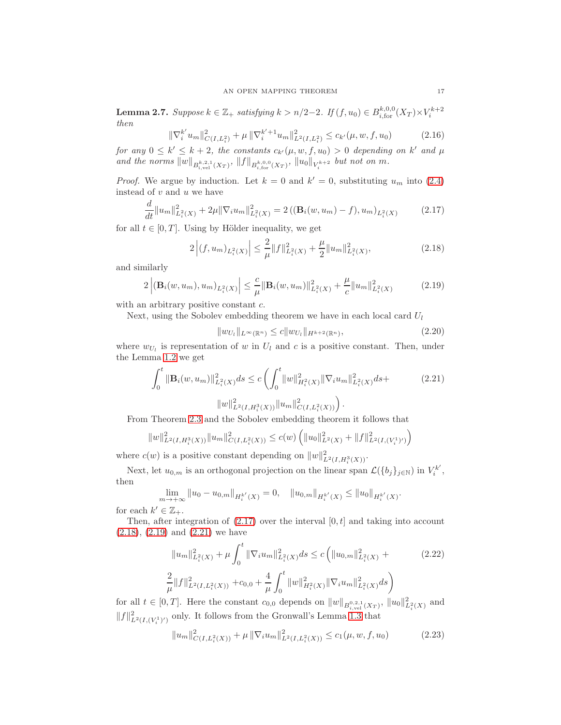<span id="page-16-4"></span>**Lemma 2.7.** Suppose  $k \in \mathbb{Z}_+$  satisfying  $k > n/2-2$ . If  $(f, u_0) \in B_{i, \text{for}}^{k, 0, 0}(X_T) \times V_i^{k+2}$ then

$$
\|\nabla_i^{k'} u_m\|_{C(I,L_i^2)}^2 + \mu \|\nabla_i^{k'+1} u_m\|_{L^2(I,L_i^2)}^2 \le c_{k'}(\mu, w, f, u_0)
$$
\n(2.16)

for any  $0 \leq k' \leq k+2$ , the constants  $c_{k'}(\mu, w, f, u_0) > 0$  depending on k' and  $\mu$ and the norms  $||w||_{B^{k,2,1}_{i,\text{vel}}(X_T)}, ||f||_{B^{k,0,0}_{i,\text{for}}(X_T)}, ||u_0||_{V_i^{k+2}}$  but not on m.

*Proof.* We argue by induction. Let  $k = 0$  and  $k' = 0$ , substituting  $u_m$  into [\(2.4\)](#page-13-3) instead of  $v$  and  $u$  we have

<span id="page-16-0"></span>
$$
\frac{d}{dt} \|u_m\|_{L_i^2(X)}^2 + 2\mu \|\nabla_i u_m\|_{L_i^2(X)}^2 = 2\left( (\mathbf{B}_i(w, u_m) - f), u_m \right)_{L_i^2(X)}\tag{2.17}
$$

for all  $t \in [0, T]$ . Using by Hölder inequality, we get

<span id="page-16-1"></span>
$$
2\left| (f, u_m)_{L_i^2(X)} \right| \le \frac{2}{\mu} \|f\|_{L_i^2(X)}^2 + \frac{\mu}{2} \|u_m\|_{L_i^2(X)}^2,
$$
\n(2.18)

and similarly

<span id="page-16-2"></span>
$$
2\left| (\mathbf{B}_i(w, u_m), u_m)_{L_i^2(X)} \right| \leq \frac{c}{\mu} \|\mathbf{B}_i(w, u_m)\|_{L_i^2(X)}^2 + \frac{\mu}{c} \|u_m\|_{L_i^2(X)}^2 \tag{2.19}
$$

with an arbitrary positive constant  $c$ .

Next, using the Sobolev embedding theorem we have in each local card  $U_l$ 

$$
||w_{U_l}||_{L^{\infty}(\mathbb{R}^n)} \le c||w_{U_l}||_{H^{k+2}(\mathbb{R}^n)},
$$
\n(2.20)

where  $w_{U_l}$  is representation of w in  $U_l$  and c is a positive constant. Then, under the Lemma [1.2](#page-3-4) we get

<span id="page-16-3"></span>
$$
\int_0^t \|\mathbf{B}_i(w, u_m)\|_{L_i^2(X)}^2 ds \le c \left( \int_0^t \|w\|_{H_i^2(X)}^2 \|\nabla_i u_m\|_{L_i^2(X)}^2 ds + \|\|w\|_{L^2(I, H_i^3(X))}^2 \|\|w\|_{C(I, L_i^2(X))}^2 \right).
$$
\n(2.21)

From Theorem [2.3](#page-13-2) and the Sobolev embedding theorem it follows that

$$
||w||_{L^{2}(I,H_{i}^{3}(X))}^{2}||u_{m}||_{C(I,L_{i}^{2}(X))}^{2} \leq c(w) \left( ||u_{0}||_{L^{2}(X)}^{2} + ||f||_{L^{2}(I,(V_{i}^{1})')}^{2} \right)
$$

where  $c(w)$  is a positive constant depending on  $||w||_{L^2(I,H_i^3(X))}^2$ .

Next, let  $u_{0,m}$  is an orthogonal projection on the linear span  $\mathcal{L}(\{b_j\}_{j\in\mathbb{N}})$  in  $V_i^{k'}$ , then

$$
\lim_{m \to +\infty} \|u_0 - u_{0,m}\|_{H_i^{k'}(X)} = 0, \quad \|u_{0,m}\|_{H_i^{k'}(X)} \le \|u_0\|_{H_i^{k'}(X)}.
$$
  

$$
\in \mathbb{Z}.
$$

for each  $k' \in \mathbb{Z}_+$ .

Then, after integration of  $(2.17)$  over the interval  $[0, t]$  and taking into account  $(2.18), (2.19)$  $(2.18), (2.19)$  $(2.18), (2.19)$  and  $(2.21)$  we have

$$
||u_m||_{L_i^2(X)}^2 + \mu \int_0^t ||\nabla_i u_m||_{L_i^2(X)}^2 ds \le c \left( ||u_{0,m}||_{L_i^2(X)}^2 + \frac{2}{\mu} ||f||_{L_i^2(I,L_i^2(X))}^2 + c_{0,0} + \frac{4}{\mu} \int_0^t ||w||_{H_i^2(X)}^2 ||\nabla_i u_m||_{L_i^2(X)}^2 ds \right)
$$
\n(2.22)

for all  $t \in [0, T]$ . Here the constant  $c_{0,0}$  depends on  $||w||_{B^{0,2,1}_{i,\text{vel}}(X_T)}$ ,  $||u_0||^2_{L^2_i(X)}$  and  $\|f\|^2_{L^2(I,(V^1_i)')}$  only. It follows from the Gronwall's Lemma [1.3](#page-3-5) that

$$
||u_m||_{C(I,L_i^2(X))}^2 + \mu ||\nabla_i u_m||_{L^2(I,L_i^2(X))}^2 \le c_1(\mu, w, f, u_0)
$$
\n(2.23)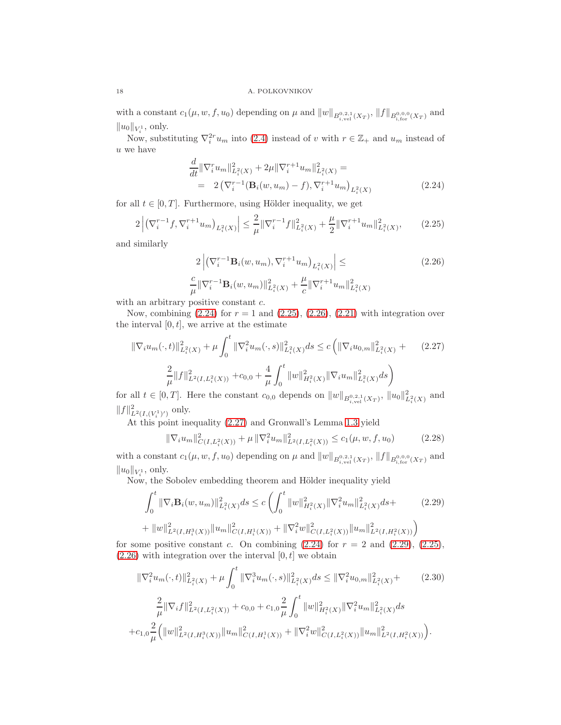with a constant  $c_1(\mu, w, f, u_0)$  depending on  $\mu$  and  $||w||_{B^{0,2,1}_{i,\text{vel}}(X_T)}, ||f||_{B^{0,0,0}_{i,\text{for}}(X_T)}$  and  $||u_0||_{V_i^1}$ , only.

Now, substituting  $\nabla_i^{2r} u_m$  into [\(2.4\)](#page-13-3) instead of v with  $r \in \mathbb{Z}_+$  and  $u_m$  instead of  $u$  we have

<span id="page-17-0"></span>
$$
\frac{d}{dt} \|\nabla_i^r u_m\|_{L_i^2(X)}^2 + 2\mu \|\nabla_i^{r+1} u_m\|_{L_i^2(X)}^2 =
$$
\n
$$
= 2 \left( \nabla_i^{r-1} (\mathbf{B}_i(w, u_m) - f), \nabla_i^{r+1} u_m \right)_{L_i^2(X)} \tag{2.24}
$$

for all  $t \in [0, T]$ . Furthermore, using Hölder inequality, we get

<span id="page-17-1"></span>
$$
2\left| \left( \nabla_i^{r-1} f, \nabla_i^{r+1} u_m \right)_{L_i^2(X)} \right| \leq \frac{2}{\mu} \| \nabla_i^{r-1} f \|_{L_i^2(X)}^2 + \frac{\mu}{2} \| \nabla_i^{r+1} u_m \|_{L_i^2(X)}^2, \tag{2.25}
$$

and similarly

<span id="page-17-2"></span>
$$
2\left| \left( \nabla_i^{r-1} \mathbf{B}_i(w, u_m), \nabla_i^{r+1} u_m \right)_{L_i^2(X)} \right| \leq
$$
\n
$$
\frac{c}{\mu} \|\nabla_i^{r-1} \mathbf{B}_i(w, u_m)\|_{L_i^2(X)}^2 + \frac{\mu}{c} \|\nabla_i^{r+1} u_m\|_{L_i^2(X)}^2
$$
\n(2.26)

with an arbitrary positive constant  $c$ .

Now, combining  $(2.24)$  for  $r = 1$  and  $(2.25)$ ,  $(2.26)$ ,  $(2.21)$  with integration over the interval  $[0, t]$ , we arrive at the estimate

<span id="page-17-3"></span>
$$
\|\nabla_i u_m(\cdot,t)\|_{L_i^2(X)}^2 + \mu \int_0^t \|\nabla_i^2 u_m(\cdot,s)\|_{L_i^2(X)}^2 ds \le c \left( \|\nabla_i u_{0,m}\|_{L_i^2(X)}^2 + (2.27) \right)
$$
  

$$
\frac{2}{\mu} \|f\|_{L^2(I,L_i^2(X))}^2 + c_{0,0} + \frac{4}{\mu} \int_0^t \|w\|_{H_i^2(X)}^2 \|\nabla_i u_m\|_{L_i^2(X)}^2 ds \right)
$$

for all  $t \in [0, T]$ . Here the constant  $c_{0,0}$  depends on  $||w||_{B^{0,2,1}_{i,\text{vel}}(X_T)}$ ,  $||u_0||^2_{L^2_i(X)}$  and  $||f||_{L^2(I,(V_i^1)')}^2$  only.

At this point inequality [\(2.27\)](#page-17-3) and Gronwall's Lemma [1.3](#page-3-5) yield

<span id="page-17-5"></span>
$$
\|\nabla_i u_m\|_{C(I, L_i^2(X))}^2 + \mu \|\nabla_i^2 u_m\|_{L^2(I, L_i^2(X))}^2 \le c_1(\mu, w, f, u_0) \tag{2.28}
$$

with a constant  $c_1(\mu, w, f, u_0)$  depending on  $\mu$  and  $||w||_{B^{0,2,1}_{i,\text{vel}}(X_T)}, ||f||_{B^{0,0,0}_{i,\text{for}}(X_T)}$  and  $||u_0||_{V_i^1}$ , only.

Now, the Sobolev embedding theorem and Hölder inequality yield

<span id="page-17-4"></span>
$$
\int_0^t \|\nabla_i \mathbf{B}_i(w, u_m)\|_{L_i^2(X)}^2 ds \le c \left( \int_0^t \|w\|_{H_i^2(X)}^2 \|\nabla_i^2 u_m\|_{L_i^2(X)}^2 ds + \right) \tag{2.29}
$$

$$
+ \|w\|_{L^2(I, H_i^3(X))}^2 \|u_m\|_{C(I, H_i^1(X))}^2 + \|\nabla_i^2 w\|_{C(I, L_i^2(X))}^2 \|u_m\|_{L^2(I, H_i^2(X))}^2 \Big)
$$

for some positive constant c. On combining  $(2.24)$  for  $r = 2$  and  $(2.29)$ ,  $(2.25)$ ,  $(2.26)$  with integration over the interval  $[0, t]$  we obtain

<span id="page-17-6"></span>
$$
\|\nabla_i^2 u_m(\cdot,t)\|_{L_i^2(X)}^2 + \mu \int_0^t \|\nabla_i^3 u_m(\cdot,s)\|_{L_i^2(X)}^2 ds \le \|\nabla_i^2 u_{0,m}\|_{L_i^2(X)}^2 + (2.30)
$$

$$
\frac{2}{\mu} \|\nabla_i f\|_{L^2(I,L_i^2(X))}^2 + c_{0,0} + c_{1,0} \frac{2}{\mu} \int_0^t \|w\|_{H_i^2(X)}^2 \|\nabla_i^2 u_m\|_{L_i^2(X)}^2 ds
$$

$$
+ c_{1,0} \frac{2}{\mu} \Big( \|w\|_{L^2(I,H_i^3(X))}^2 \|u_m\|_{C(I,H_i^1(X))}^2 + \|\nabla_i^2 w\|_{C(I,L_i^2(X))}^2 \|u_m\|_{L^2(I,H_i^2(X))}^2 \Big).
$$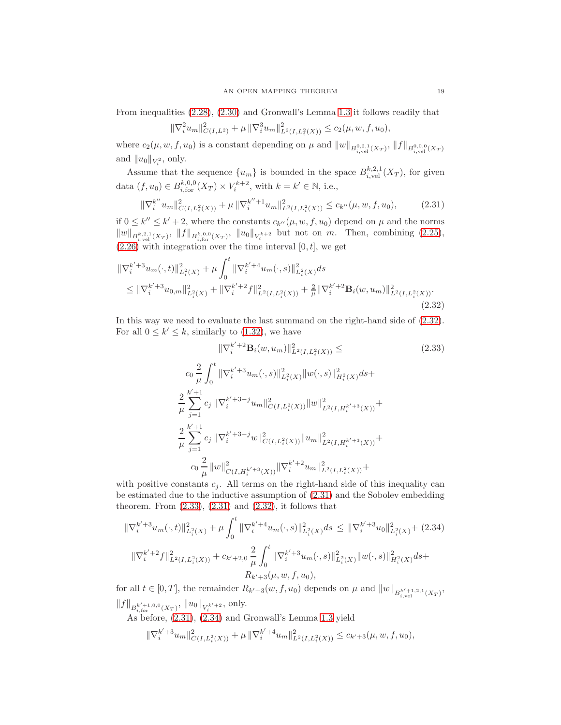From inequalities [\(2.28\)](#page-17-5), [\(2.30\)](#page-17-6) and Gronwall's Lemma [1.3](#page-3-5) it follows readily that

$$
\|\nabla_i^2 u_m\|_{C(I,L^2)}^2 + \mu \|\nabla_i^3 u_m\|_{L^2(I,L_i^2(X))}^2 \le c_2(\mu, w, f, u_0),
$$

where  $c_2(\mu, w, f, u_0)$  is a constant depending on  $\mu$  and  $||w||_{B^{0,2,1}_{i,\text{vel}}(X_T)}$ ,  $||f||_{B^{0,0,0}_{i,\text{vel}}(X_T)}$ and  $||u_0||_{V_i^2}$ , only.

Assume that the sequence  $\{u_m\}$  is bounded in the space  $B_{i,\text{vel}}^{k,2,1}(X_T)$ , for given data  $(f, u_0) \in B_{i, \text{for}}^{k, 0, 0}(X_T) \times V_i^{k+2}$ , with  $k = k' \in \mathbb{N}$ , i.e.,

<span id="page-18-1"></span>
$$
\|\nabla_i^{k''} u_m\|_{C(I, L_i^2(X))}^2 + \mu \|\nabla_i^{k''+1} u_m\|_{L^2(I, L_i^2(X))}^2 \le c_{k''}(\mu, w, f, u_0),\tag{2.31}
$$

if  $0 \leq k'' \leq k' + 2$ , where the constants  $c_{k''}(\mu, w, f, u_0)$  depend on  $\mu$  and the norms  $||w||_{B^{k,2,1}_{i,\text{vel}}(X_T)}, ||f||_{B^{k,0,0}_{i,\text{for}}(X_T)}, ||u_0||_{V_i^{k+2}}$  but not on m. Then, combining [\(2.25\)](#page-17-1),  $(2.26)$  with integration over the time interval  $[0, t]$ , we get

<span id="page-18-0"></span>
$$
\begin{split} \|\nabla_i^{k'+3} u_m(\cdot,t)\|_{L_i^2(X)}^2 &+ \mu \int_0^t \|\nabla_i^{k'+4} u_m(\cdot,s)\|_{L_i^2(X)}^2 ds \\ &\leq \|\nabla_i^{k'+3} u_{0,m}\|_{L_i^2(X)}^2 + \|\nabla_i^{k'+2} f\|_{L^2(I,L_i^2(X))}^2 + \frac{2}{\mu} \|\nabla_i^{k'+2} \mathbf{B}_i(w, u_m)\|_{L^2(I,L_i^2(X))}^2. \end{split} \tag{2.32}
$$

In this way we need to evaluate the last summand on the right-hand side of [\(2.32\)](#page-18-0). For all  $0 \leq k' \leq k$ , similarly to [\(1.32\)](#page-8-5), we have

<span id="page-18-2"></span>
$$
\|\nabla_i^{k'+2} \mathbf{B}_i(w, u_m)\|_{L^2(I, L_i^2(X))}^2 \leq \qquad (2.33)
$$
  
\n
$$
c_0 \frac{2}{\mu} \int_0^t \|\nabla_i^{k'+3} u_m(\cdot, s)\|_{L_i^2(X)}^2 \|w(\cdot, s)\|_{H_i^2(X)}^2 ds +
$$
  
\n
$$
\frac{2}{\mu} \sum_{j=1}^{k'+1} c_j \|\nabla_i^{k'+3-j} u_m\|_{C(I, L_i^2(X))}^2 \|w\|_{L^2(I, H_i^{k'+3}(X))}^2 +
$$
  
\n
$$
\frac{2}{\mu} \sum_{j=1}^{k'+1} c_j \|\nabla_i^{k'+3-j} w\|_{C(I, L_i^2(X))}^2 \|u_m\|_{L^2(I, H_i^{k'+3}(X))}^2 +
$$
  
\n
$$
c_0 \frac{2}{\mu} \|w\|_{C(I, H_i^{k'+3}(X))}^2 \|\nabla_i^{k'+2} u_m\|_{L^2(I, L_i^2(X))}^2 +
$$

with positive constants  $c_j$ . All terms on the right-hand side of this inequality can be estimated due to the inductive assumption of [\(2.31\)](#page-18-1) and the Sobolev embedding theorem. From  $(2.33)$ ,  $(2.31)$  and  $(2.32)$ , it follows that

<span id="page-18-3"></span>
$$
\begin{split} \|\nabla_{i}^{k'+3}u_{m}(\cdot,t)\|_{L^{2}(X)}^{2} + \mu \int_{0}^{t} \|\nabla_{i}^{k'+4}u_{m}(\cdot,s)\|_{L^{2}(X)}^{2}ds &\leq \|\nabla_{i}^{k'+3}u_{0}\|_{L^{2}(X)}^{2} + (2.34) \\ \|\nabla_{i}^{k'+2}f\|_{L^{2}(I,L^{2}_{i}(X))}^{2} + c_{k'+2,0} \frac{2}{\mu} \int_{0}^{t} \|\nabla_{i}^{k'+3}u_{m}(\cdot,s)\|_{L^{2}(X)}^{2} \|w(\cdot,s)\|_{H^{2}_{i}(X)}^{2}ds + \\ R_{k'+3}(\mu,w,f,u_{0}), \end{split}
$$

for all  $t \in [0,T]$ , the remainder  $R_{k'+3}(w, f, u_0)$  depends on  $\mu$  and  $||w||_{B^{k'+1,2,1}_{k,vel}(X_T)}$ ,  $||f||_{B^{k'+1,0,0}_{i,\text{for}}(X_T)}, ||u_0||_{V_i^{k'+2}}$ , only.

As before, [\(2.31\)](#page-18-1), [\(2.34\)](#page-18-3) and Gronwall's Lemma [1.3](#page-3-5) yield

$$
\|\nabla_i^{k'+3} u_m\|_{C(I,L_i^2(X))}^2 + \mu \|\nabla_i^{k'+4} u_m\|_{L^2(I,L_i^2(X))}^2 \leq c_{k'+3}(\mu,w,f,u_0),
$$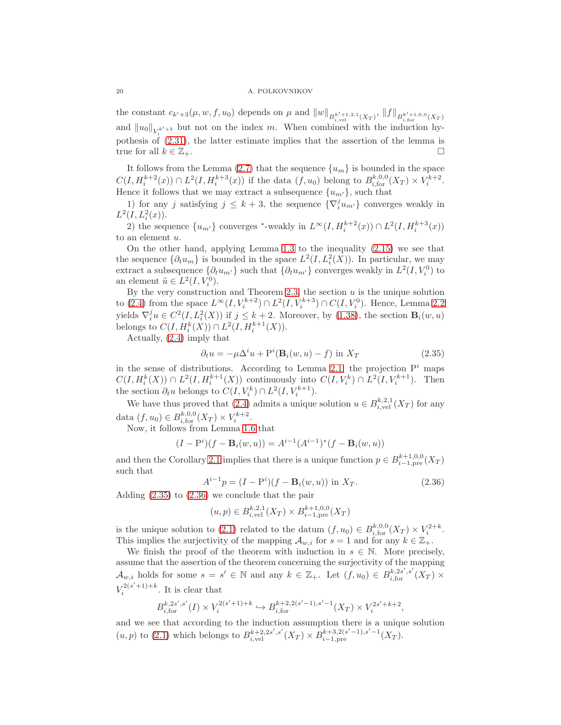#### 20 A. POLKOVNIKOV

the constant  $c_{k'+3}(\mu, w, f, u_0)$  depends on  $\mu$  and  $||w||_{B^{k'+1,2,1}_{i,\text{vel}}(X_T)}, ||f||_{B^{k'+1,0,0}_{i,\text{for}}(X_T)}$ and  $||u_0||_{V_i^{k'+3}}$  but not on the index m. When combined with the induction hypothesis of  $(2.31)$ , the latter estimate implies that the assertion of the lemma is true for all  $k \in \mathbb{Z}_+$ .

It follows from the Lemma [\(2.7\)](#page-16-4) that the sequence  ${u<sub>m</sub>}$  is bounded in the space  $C(I, H_i^{k+2}(x)) \cap L^2(I, H_i^{k+3}(x))$  if the data  $(f, u_0)$  belong to  $B_{i, \text{for}}^{k, 0, 0}(X_T) \times V_i^{k+2}$ . Hence it follows that we may extract a subsequence  $\{u_{m'}\}$ , such that

1) for any j satisfying  $j \leq k+3$ , the sequence  $\{\nabla_i^j u_{m'}\}$  converges weakly in  $L^2(I, L^2_i(x)).$ 

2) the sequence  $\{u_{m'}\}$  converges \*-weakly in  $L^{\infty}(I, H_i^{k+2}(x)) \cap L^2(I, H_i^{k+3}(x))$ to an element u.

On the other hand, applying Lemma [1.3](#page-3-5) to the inequality [\(2.15\)](#page-15-4) we see that the sequence  $\{\partial_t u_m\}$  is bounded in the space  $L^2(I, L_i^2(X))$ . In particular, we may extract a subsequence  $\{\partial_t u_{m'}\}$  such that  $\{\partial_t u_{m'}\}$  converges weakly in  $L^2(I, V_i^0)$  to an element  $\tilde{u} \in L^2(I, V_i^0)$ .

By the very construction and Theorem [2.3,](#page-13-2) the section  $u$  is the unique solution to [\(2.4\)](#page-13-3) from the space  $L^{\infty}(I, V_i^{k+2}) \cap L^2(I, V_i^{k+3}) \cap C(I, V_i^0)$ . Hence, Lemma [2.2](#page-13-4) yields  $\nabla_i^j u \in C^2(I, L_i^2(X))$  if  $j \leq k+2$ . Moreover, by [\(1.38\)](#page-9-1), the section  $\mathbf{B}_i(w, u)$ belongs to  $C(I, H_i^k(X)) \cap L^2(I, H_i^{k+1}(X)).$ 

Actually, [\(2.4\)](#page-13-3) imply that

<span id="page-19-0"></span>
$$
\partial_t u = -\mu \Delta^i u + \mathcal{P}^i(\mathbf{B}_i(w, u) - f) \text{ in } X_T \tag{2.35}
$$

in the sense of distributions. According to Lemma [2.1,](#page-12-2) the projection  $P<sup>i</sup>$  maps  $C(I, H_i^k(X)) \cap L^2(I, H_i^{k+1}(X))$  continuously into  $C(I, V_i^k) \cap L^2(I, V_i^{k+1})$ . Then the section  $\partial_t u$  belongs to  $C(I, V_i^k) \cap L^2(I, V_i^{k+1})$ .

We have thus proved that [\(2.4\)](#page-13-3) admits a unique solution  $u \in B_{i,\text{vel}}^{k,2,1}(X_T)$  for any data  $(f, u_0) \in B_{i, \text{for}}^{k, 0, 0}(X_T) \times V_i^{k+2}$ .

Now, it follows from Lemma [1.6](#page-11-3) that

$$
(I - Pi)(f - Bi(w, u)) = Ai-1(Ai-1)*(f - Bi(w, u))
$$

and then the Corollary [2.1](#page-12-2) implies that there is a unique function  $p \in B_{i-1,pre}^{k+1,0,0}(X_T)$ such that

<span id="page-19-1"></span>
$$
A^{i-1}p = (I - Pi)(f - Bi(w, u)) \text{ in } X_T.
$$
 (2.36)

Adding [\(2.35\)](#page-19-0) to [\(2.36\)](#page-19-1) we conclude that the pair

$$
(u,p) \in B_{i,\text{vel}}^{k,2,1}(X_T) \times B_{i-1,\text{pre}}^{k+1,0,0}(X_T)
$$

is the unique solution to [\(2.1\)](#page-12-0) related to the datum  $(f, u_0) \in B_{i, \text{for}}^{k,0,0}(X_T) \times V_i^{2+k}$ . This implies the surjectivity of the mapping  $\mathcal{A}_{w,i}$  for  $s = 1$  and for any  $k \in \mathbb{Z}_+$ .

We finish the proof of the theorem with induction in  $s \in \mathbb{N}$ . More precisely, assume that the assertion of the theorem concerning the surjectivity of the mapping  $\mathcal{A}_{w,i}$  holds for some  $s = s' \in \mathbb{N}$  and any  $k \in \mathbb{Z}_+$ . Let  $(f, u_0) \in B_{i, \text{for}}^{k, 2s', s'}(X_T) \times$  $V_i^{2(s'+1)+k}$ . It is clear that

$$
B^{k,2s',s'}_{i,\text{for}}(I) \times V^{2(s'+1)+k}_i \hookrightarrow B^{k+2,2(s'-1),s'-1}_{i,\text{for}}(X_T) \times V^{2s'+k+2}_i,
$$

and we see that according to the induction assumption there is a unique solution  $(u, p)$  to [\(2.1\)](#page-12-0) which belongs to  $B_{i, \text{vel}}^{k+2, 2s', s'}(X_T) \times B_{i-1, \text{pre}}^{k+3, 2(s'-1), s'-1}(X_T)$ .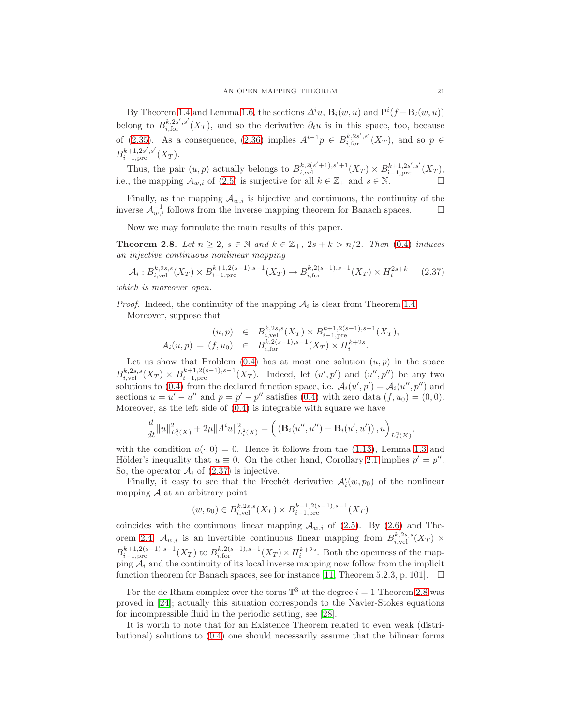By Theorem [1.4](#page-5-5) and Lemma [1.6,](#page-11-3) the sections  $\Delta^i u$ ,  $\mathbf{B}_i(w, u)$  and  $P^i(f - \mathbf{B}_i(w, u))$ belong to  $B_{i,\text{for}}^{k,2s',s'}(X_T)$ , and so the derivative  $\partial_t u$  is in this space, too, because of [\(2.35\)](#page-19-0). As a consequence, [\(2.36\)](#page-19-1) implies  $A^{i-1}p \in B^{k,2s',s'}_{i,\text{for}}(X_T)$ , and so  $p \in$  $B_{i-1, \text{pre}}^{k+1, 2s', s'}(X_T).$ 

Thus, the pair  $(u, p)$  actually belongs to  $B_{i, \text{vel}}^{k, 2(s'+1), s'+1}(X_T) \times B_{i-1, \text{pre}}^{k+1, 2s', s'}(X_T)$ , i.e., the mapping  $\mathcal{A}_{w,i}$  of [\(2.5\)](#page-13-0) is surjective for all  $k \in \mathbb{Z}_+$  and  $s \in \mathbb{N}$ .

Finally, as the mapping  $\mathcal{A}_{w,i}$  is bijective and continuous, the continuity of the inverse  $\mathcal{A}_{w,i}^{-1}$  follows from the inverse mapping theorem for Banach spaces.  $\Box$ 

Now we may formulate the main results of this paper.

<span id="page-20-1"></span>**Theorem 2.8.** Let  $n \geq 2$ ,  $s \in \mathbb{N}$  and  $k \in \mathbb{Z}_+$ ,  $2s + k > n/2$ . Then [\(0.4\)](#page-1-0) induces an injective continuous nonlinear mapping

<span id="page-20-0"></span>
$$
\mathcal{A}_{i}: B_{i,\text{vel}}^{k,2s,s}(X_{T}) \times B_{i-1,\text{pre}}^{k+1,2(s-1),s-1}(X_{T}) \to B_{i,\text{for}}^{k,2(s-1),s-1}(X_{T}) \times H_{i}^{2s+k} \tag{2.37}
$$

which is moreover open.

*Proof.* Indeed, the continuity of the mapping  $A_i$  is clear from Theorem [1.4.](#page-5-5) Moreover, suppose that

$$
(u,p) \in B_{i,\text{vel}}^{k,2s,s}(X_T) \times B_{i-1,\text{pre}}^{k+1,2(s-1),s-1}(X_T),
$$
  

$$
\mathcal{A}_i(u,p) = (f,u_0) \in B_{i,\text{for}}^{k,2(s-1),s-1}(X_T) \times H_i^{k+2s}.
$$

Let us show that Problem  $(0.4)$  has at most one solution  $(u, p)$  in the space  $B_{i,\text{vel}}^{k,2s,s}(X_T) \times B_{i-1,\text{pre}}^{k+1,2(s-1),s-1}(X_T)$ . Indeed, let  $(u',p')$  and  $(u'',p'')$  be any two solutions to [\(0.4\)](#page-1-0) from the declared function space, i.e.  $\mathcal{A}_i(u',p') = \mathcal{A}_i(u'',p'')$  and sections  $u = u' - u''$  and  $p = p' - p''$  satisfies [\(0.4\)](#page-1-0) with zero data  $(f, u_0) = (0, 0)$ . Moreover, as the left side of [\(0.4\)](#page-1-0) is integrable with square we have

$$
\frac{d}{dt}||u||_{L_i^2(X)}^2 + 2\mu||A^i u||_{L_i^2(X)}^2 = \left( \left( \mathbf{B}_i(u'', u'') - \mathbf{B}_i(u', u') \right), u \right)_{L_i^2(X)},
$$

with the condition  $u(\cdot, 0) = 0$ . Hence it follows from the [\(1.13\)](#page-4-0), Lemma [1.3](#page-3-5) and Hölder's inequality that  $u \equiv 0$ . On the other hand, Corollary [2.1](#page-12-2) implies  $p' = p''$ . So, the operator  $A_i$  of [\(2.37\)](#page-20-0) is injective.

Finally, it easy to see that the Frechét derivative  $\mathcal{A}'_i(w, p_0)$  of the nonlinear mapping  $A$  at an arbitrary point

$$
(w, p_0) \in B_{i, \text{vel}}^{k, 2s, s}(X_T) \times B_{i-1, \text{pre}}^{k+1, 2(s-1), s-1}(X_T)
$$

coincides with the continuous linear mapping  $A_{w,i}$  of [\(2.5\)](#page-13-0). By [\(2.6\)](#page-13-5) and The-orem [2.4,](#page-13-6)  $\mathcal{A}_{w,i}$  is an invertible continuous linear mapping from  $B_{i,\text{vel}}^{k,2s,s}(X_T)$  ×  $B_{i-1,pre}^{k+1,2(s-1),s-1}(X_T)$  to  $B_{i,for}^{k,2(s-1),s-1}(X_T) \times H_i^{k+2s}$ . Both the openness of the mapping  $A_i$  and the continuity of its local inverse mapping now follow from the implicit function theorem for Banach spaces, see for instance [\[11,](#page-21-14) Theorem 5.2.3, p. 101].  $\Box$ 

For the de Rham complex over the torus  $\mathbb{T}^3$  at the degree  $i = 1$  Theorem [2.8](#page-20-1) was proved in [\[24\]](#page-22-2); actually this situation corresponds to the Navier-Stokes equations for incompressible fluid in the periodic setting, see [\[28\]](#page-22-4).

It is worth to note that for an Existence Theorem related to even weak (distributional) solutions to [\(0.4\)](#page-1-0) one should necessarily assume that the bilinear forms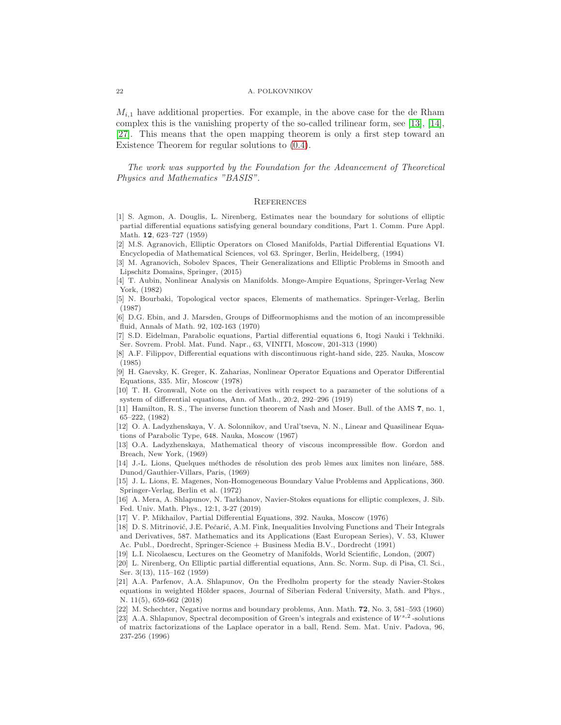$M_{i,1}$  have additional properties. For example, in the above case for the de Rham complex this is the vanishing property of the so-called trilinear form, see [\[13\]](#page-21-12), [\[14\]](#page-21-0), [\[27\]](#page-22-0). This means that the open mapping theorem is only a first step toward an Existence Theorem for regular solutions to [\(0.4\)](#page-1-0).

The work was supported by the Foundation for the Advancement of Theoretical Physics and Mathematics "BASIS".

## **REFERENCES**

- [1] S. Agmon, A. Douglis, L. Nirenberg, Estimates near the boundary for solutions of elliptic partial differential equations satisfying general boundary conditions, Part 1. Comm. Pure Appl. Math. 12, 623–727 (1959)
- <span id="page-21-8"></span>[2] M.S. Agranovich, Elliptic Operators on Closed Manifolds, Partial Differential Equations VI. Encyclopedia of Mathematical Sciences, vol 63. Springer, Berlin, Heidelberg, (1994)
- <span id="page-21-6"></span>[3] M. Agranovich, Sobolev Spaces, Their Generalizations and Elliptic Problems in Smooth and Lipschitz Domains, Springer, (2015)
- <span id="page-21-10"></span>[4] T. Aubin, Nonlinear Analysis on Manifolds. Monge-Ampire Equations, Springer-Verlag New York, (1982)

<span id="page-21-1"></span>[5] N. Bourbaki, Topological vector spaces, Elements of mathematics. Springer-Verlag, Berlin (1987)

<span id="page-21-5"></span>[6] D.G. Ebin, and J. Marsden, Groups of Diffeormophisms and the motion of an incompressible fluid, Annals of Math. 92, 102-163 (1970)

<span id="page-21-2"></span>[7] S.D. Eidelman, Parabolic equations, Partial differential equations 6, Itogi Nauki i Tekhniki. Ser. Sovrem. Probl. Mat. Fund. Napr., 63, VINITI, Moscow, 201-313 (1990)

- [8] A.F. Filippov, Differential equations with discontinuous right-hand side, 225. Nauka, Moscow (1985)
- [9] H. Gaevsky, K. Greger, K. Zaharias, Nonlinear Operator Equations and Operator Differential Equations, 335. Mir, Moscow (1978)

[10] T. H. Gronwall, Note on the derivatives with respect to a parameter of the solutions of a system of differential equations, Ann. of Math., 20:2, 292–296 (1919)

<span id="page-21-14"></span>[11] Hamilton, R. S., The inverse function theorem of Nash and Moser. Bull. of the AMS 7, no. 1, 65–222, (1982)

<span id="page-21-13"></span>[12] O. A. Ladyzhenskaya, V. A. Solonnikov, and Ural'tseva, N. N., Linear and Quasilinear Equations of Parabolic Type, 648. Nauka, Moscow (1967)

<span id="page-21-12"></span>[13] O.A. Ladyzhenskaya, Mathematical theory of viscous incompressible flow. Gordon and Breach, New York, (1969)

<span id="page-21-0"></span>[14] J.-L. Lions, Quelques méthodes de résolution des prob lèmes aux limites non linéare, 588. Dunod/Gauthier-Villars, Paris, (1969)

<span id="page-21-11"></span>[15] J. L. Lions, E. Magenes, Non-Homogeneous Boundary Value Problems and Applications, 360. Springer-Verlag, Berlin et al. (1972)

<span id="page-21-4"></span>[16] A. Mera, A. Shlapunov, N. Tarkhanov, Navier-Stokes equations for elliptic complexes, J. Sib. Fed. Univ. Math. Phys., 12:1, 3-27 (2019)

- [17] V. P. Mikhailov, Partial Differential Equations, 392. Nauka, Moscow (1976)
- [18] D. S. Mitrinović, J.E. Pečarić, A.M. Fink, Inequalities Involving Functions and Their Integrals and Derivatives, 587. Mathematics and its Applications (East European Series), V. 53, Kluwer Ac. Publ., Dordrecht, Springer-Science + Business Media B.V., Dordrecht (1991)

<span id="page-21-9"></span><span id="page-21-7"></span>[19] L.I. Nicolaescu, Lectures on the Geometry of Manifolds, World Scientific, London, (2007)

[20] L. Nirenberg, On Elliptic partial differential equations, Ann. Sc. Norm. Sup. di Pisa, Cl. Sci., Ser. 3(13), 115–162 (1959)

<span id="page-21-3"></span>[21] A.A. Parfenov, A.A. Shlapunov, On the Fredholm property for the steady Navier-Stokes equations in weighted Hölder spaces, Journal of Siberian Federal University, Math. and Phys., N. 11(5), 659-662 (2018)

[22] M. Schechter, Negative norms and boundary problems, Ann. Math. 72, No. 3, 581–593 (1960)

[23] A.A. Shlapunov, Spectral decomposition of Green's integrals and existence of  $W^{s,2}$ -solutions of matrix factorizations of the Laplace operator in a ball, Rend. Sem. Mat. Univ. Padova, 96, 237-256 (1996)